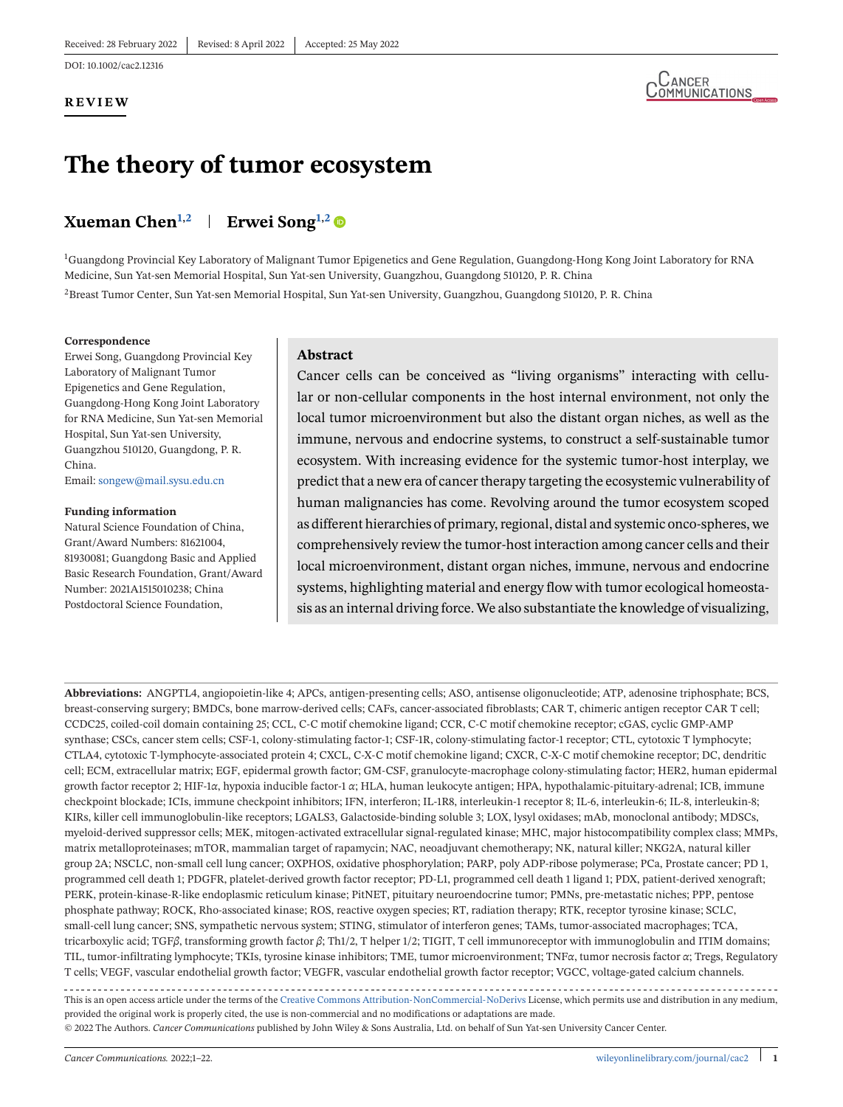DOI: 10.1002/cac2.12316

#### **REVIEW**



## **The theory of tumor ecosystem**

### **Xueman Chen**<sup>1,2</sup> **Erwei Song**<sup>1,2</sup>

<sup>1</sup>Guangdong Provincial Key Laboratory of Malignant Tumor Epigenetics and Gene Regulation, Guangdong-Hong Kong Joint Laboratory for RNA Medicine, Sun Yat-sen Memorial Hospital, Sun Yat-sen University, Guangzhou, Guangdong 510120, P. R. China

2Breast Tumor Center, Sun Yat-sen Memorial Hospital, Sun Yat-sen University, Guangzhou, Guangdong 510120, P. R. China

#### **Correspondence**

Erwei Song, Guangdong Provincial Key Laboratory of Malignant Tumor Epigenetics and Gene Regulation, Guangdong-Hong Kong Joint Laboratory for RNA Medicine, Sun Yat-sen Memorial Hospital, Sun Yat-sen University, Guangzhou 510120, Guangdong, P. R. China.

Email: [songew@mail.sysu.edu.cn](mailto:songew@mail.sysu.edu.cn)

#### **Funding information**

Natural Science Foundation of China, Grant/Award Numbers: 81621004, 81930081; Guangdong Basic and Applied Basic Research Foundation, Grant/Award Number: 2021A1515010238; China Postdoctoral Science Foundation,

#### **Abstract**

Cancer cells can be conceived as "living organisms" interacting with cellular or non-cellular components in the host internal environment, not only the local tumor microenvironment but also the distant organ niches, as well as the immune, nervous and endocrine systems, to construct a self-sustainable tumor ecosystem. With increasing evidence for the systemic tumor-host interplay, we predict that a new era of cancer therapy targeting the ecosystemic vulnerability of human malignancies has come. Revolving around the tumor ecosystem scoped as different hierarchies of primary, regional, distal and systemic onco-spheres, we comprehensively review the tumor-host interaction among cancer cells and their local microenvironment, distant organ niches, immune, nervous and endocrine systems, highlighting material and energy flow with tumor ecological homeostasis as an internal driving force. We also substantiate the knowledge of visualizing,

**Abbreviations:** ANGPTL4, angiopoietin-like 4; APCs, antigen-presenting cells; ASO, antisense oligonucleotide; ATP, adenosine triphosphate; BCS, breast-conserving surgery; BMDCs, bone marrow-derived cells; CAFs, cancer-associated fibroblasts; CAR T, chimeric antigen receptor CAR T cell; CCDC25, coiled-coil domain containing 25; CCL, C-C motif chemokine ligand; CCR, C-C motif chemokine receptor; cGAS, cyclic GMP-AMP synthase; CSCs, cancer stem cells; CSF-1, colony-stimulating factor-1; CSF-1R, colony-stimulating factor-1 receptor; CTL, cytotoxic T lymphocyte; CTLA4, cytotoxic T-lymphocyte-associated protein 4; CXCL, C-X-C motif chemokine ligand; CXCR, C-X-C motif chemokine receptor; DC, dendritic cell; ECM, extracellular matrix; EGF, epidermal growth factor; GM-CSF, granulocyte-macrophage colony-stimulating factor; HER2, human epidermal growth factor receptor 2; HIF-1*α*, hypoxia inducible factor-1 *α*; HLA, human leukocyte antigen; HPA, hypothalamic-pituitary-adrenal; ICB, immune checkpoint blockade; ICIs, immune checkpoint inhibitors; IFN, interferon; IL-1R8, interleukin-1 receptor 8; IL-6, interleukin-6; IL-8, interleukin-8; KIRs, killer cell immunoglobulin-like receptors; LGALS3, Galactoside-binding soluble 3; LOX, lysyl oxidases; mAb, monoclonal antibody; MDSCs, myeloid-derived suppressor cells; MEK, mitogen-activated extracellular signal-regulated kinase; MHC, major histocompatibility complex class; MMPs, matrix metalloproteinases; mTOR, mammalian target of rapamycin; NAC, neoadjuvant chemotherapy; NK, natural killer; NKG2A, natural killer group 2A; NSCLC, non-small cell lung cancer; OXPHOS, oxidative phosphorylation; PARP, poly ADP-ribose polymerase; PCa, Prostate cancer; PD 1, programmed cell death 1; PDGFR, platelet-derived growth factor receptor; PD-L1, programmed cell death 1 ligand 1; PDX, patient-derived xenograft; PERK, protein-kinase-R-like endoplasmic reticulum kinase; PitNET, pituitary neuroendocrine tumor; PMNs, pre-metastatic niches; PPP, pentose phosphate pathway; ROCK, Rho-associated kinase; ROS, reactive oxygen species; RT, radiation therapy; RTK, receptor tyrosine kinase; SCLC, small-cell lung cancer; SNS, sympathetic nervous system; STING, stimulator of interferon genes; TAMs, tumor-associated macrophages; TCA, tricarboxylic acid; TGF*β*, transforming growth factor *β*; Th1/2, T helper 1/2; TIGIT, T cell immunoreceptor with immunoglobulin and ITIM domains; TIL, tumor-infiltrating lymphocyte; TKIs, tyrosine kinase inhibitors; TME, tumor microenvironment; TNF*α*, tumor necrosis factor *α*; Tregs, Regulatory T cells; VEGF, vascular endothelial growth factor; VEGFR, vascular endothelial growth factor receptor; VGCC, voltage-gated calcium channels. This is an open access article under the terms of the [Creative Commons Attribution-NonCommercial-NoDerivs](http://creativecommons.org/licenses/by-nc-nd/4.0/) License, which permits use and distribution in any medium, provided the original work is properly cited, the use is non-commercial and no modifications or adaptations are made. © 2022 The Authors. *Cancer Communications* published by John Wiley & Sons Australia, Ltd. on behalf of Sun Yat-sen University Cancer Center.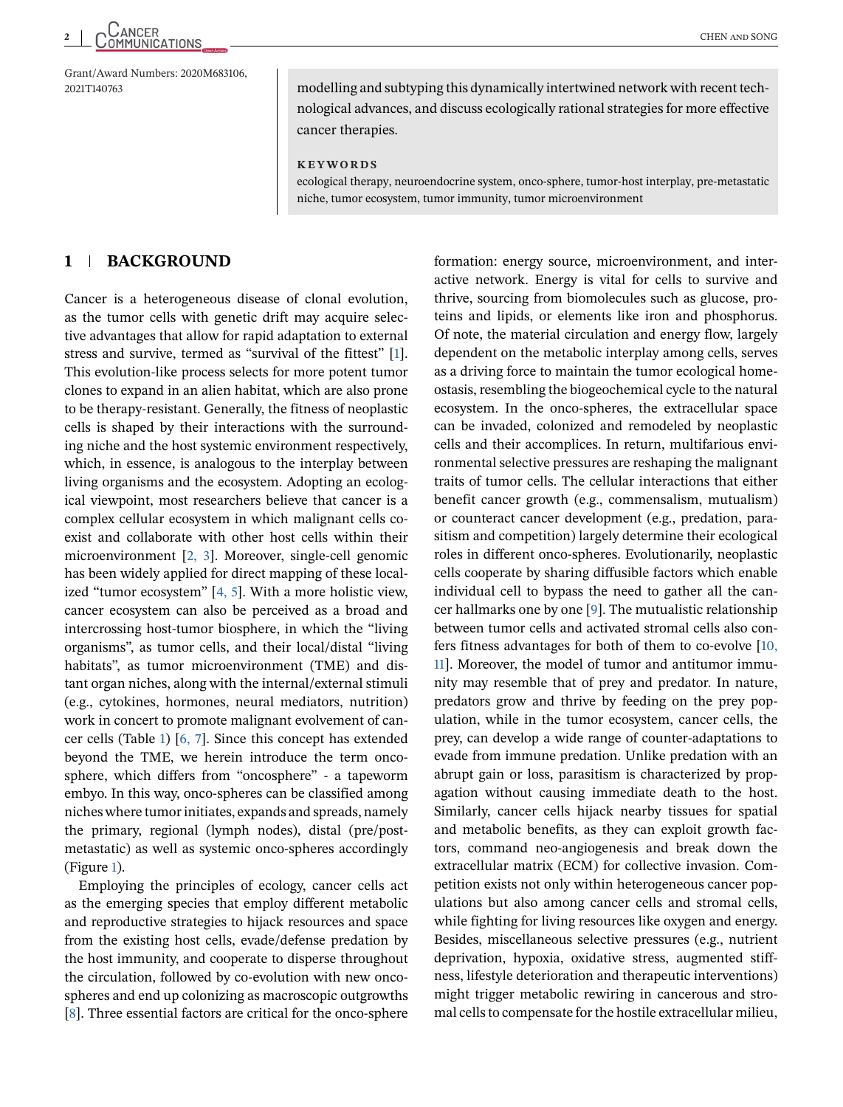Grant/Award Numbers: 2020M683106,

2021T140763 modelling and subtyping this dynamically intertwined network with recent technological advances, and discuss ecologically rational strategies for more effective cancer therapies.

**KEYWORDS**

ecological therapy, neuroendocrine system, onco-sphere, tumor-host interplay, pre-metastatic niche, tumor ecosystem, tumor immunity, tumor microenvironment

#### **1 BACKGROUND**

Cancer is a heterogeneous disease of clonal evolution, as the tumor cells with genetic drift may acquire selective advantages that allow for rapid adaptation to external stress and survive, termed as "survival of the fittest" [\[1\]](#page-16-0). This evolution-like process selects for more potent tumor clones to expand in an alien habitat, which are also prone to be therapy-resistant. Generally, the fitness of neoplastic cells is shaped by their interactions with the surrounding niche and the host systemic environment respectively, which, in essence, is analogous to the interplay between living organisms and the ecosystem. Adopting an ecological viewpoint, most researchers believe that cancer is a complex cellular ecosystem in which malignant cells coexist and collaborate with other host cells within their microenvironment [\[2, 3\]](#page-16-0). Moreover, single-cell genomic has been widely applied for direct mapping of these localized "tumor ecosystem" [\[4, 5\]](#page-16-0). With a more holistic view, cancer ecosystem can also be perceived as a broad and intercrossing host-tumor biosphere, in which the "living organisms", as tumor cells, and their local/distal "living habitats", as tumor microenvironment (TME) and distant organ niches, along with the internal/external stimuli (e.g., cytokines, hormones, neural mediators, nutrition) work in concert to promote malignant evolvement of cancer cells (Table [1\)](#page-2-0) [\[6, 7\]](#page-16-0). Since this concept has extended beyond the TME, we herein introduce the term oncosphere, which differs from "oncosphere" - a tapeworm embyo. In this way, onco-spheres can be classified among niches where tumor initiates, expands and spreads, namely the primary, regional (lymph nodes), distal (pre/postmetastatic) as well as systemic onco-spheres accordingly (Figure [1\)](#page-2-0).

Employing the principles of ecology, cancer cells act as the emerging species that employ different metabolic and reproductive strategies to hijack resources and space from the existing host cells, evade/defense predation by the host immunity, and cooperate to disperse throughout the circulation, followed by co-evolution with new oncospheres and end up colonizing as macroscopic outgrowths [\[8\]](#page-16-0). Three essential factors are critical for the onco-sphere formation: energy source, microenvironment, and interactive network. Energy is vital for cells to survive and thrive, sourcing from biomolecules such as glucose, proteins and lipids, or elements like iron and phosphorus. Of note, the material circulation and energy flow, largely dependent on the metabolic interplay among cells, serves as a driving force to maintain the tumor ecological homeostasis, resembling the biogeochemical cycle to the natural ecosystem. In the onco-spheres, the extracellular space can be invaded, colonized and remodeled by neoplastic cells and their accomplices. In return, multifarious environmental selective pressures are reshaping the malignant traits of tumor cells. The cellular interactions that either benefit cancer growth (e.g., commensalism, mutualism) or counteract cancer development (e.g., predation, parasitism and competition) largely determine their ecological roles in different onco-spheres. Evolutionarily, neoplastic cells cooperate by sharing diffusible factors which enable individual cell to bypass the need to gather all the cancer hallmarks one by one [\[9\]](#page-16-0). The mutualistic relationship between tumor cells and activated stromal cells also confers fitness advantages for both of them to co-evolve [\[10,](#page-16-0) [11\]](#page-16-0). Moreover, the model of tumor and antitumor immunity may resemble that of prey and predator. In nature, predators grow and thrive by feeding on the prey population, while in the tumor ecosystem, cancer cells, the prey, can develop a wide range of counter-adaptations to evade from immune predation. Unlike predation with an abrupt gain or loss, parasitism is characterized by propagation without causing immediate death to the host. Similarly, cancer cells hijack nearby tissues for spatial and metabolic benefits, as they can exploit growth factors, command neo-angiogenesis and break down the extracellular matrix (ECM) for collective invasion. Competition exists not only within heterogeneous cancer populations but also among cancer cells and stromal cells, while fighting for living resources like oxygen and energy. Besides, miscellaneous selective pressures (e.g., nutrient deprivation, hypoxia, oxidative stress, augmented stiffness, lifestyle deterioration and therapeutic interventions) might trigger metabolic rewiring in cancerous and stromal cells to compensate for the hostile extracellular milieu,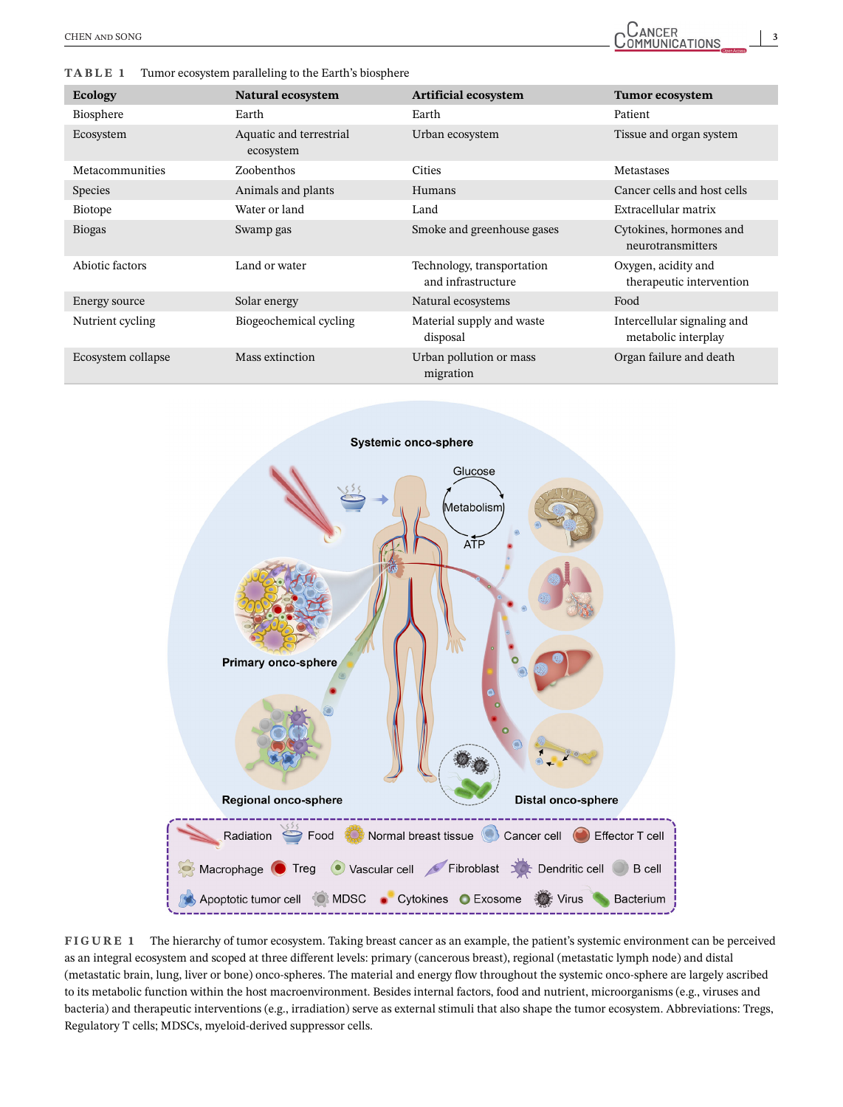#### <span id="page-2-0"></span>**TABLE 1** Tumor ecosystem paralleling to the Earth's biosphere

| <b>Ecology</b>     | Natural ecosystem                    | <b>Artificial ecosystem</b>                      | <b>Tumor ecosystem</b>                             |
|--------------------|--------------------------------------|--------------------------------------------------|----------------------------------------------------|
| Biosphere          | Earth                                | Earth                                            | Patient                                            |
| Ecosystem          | Aquatic and terrestrial<br>ecosystem | Urban ecosystem                                  | Tissue and organ system                            |
| Metacommunities    | Zoobenthos                           | <b>Cities</b>                                    | <b>Metastases</b>                                  |
| <b>Species</b>     | Animals and plants                   | Humans                                           | Cancer cells and host cells                        |
| Biotope            | Water or land                        | Land                                             | Extracellular matrix                               |
| <b>Biogas</b>      | Swamp gas                            | Smoke and greenhouse gases                       | Cytokines, hormones and<br>neurotransmitters       |
| Abiotic factors    | Land or water                        | Technology, transportation<br>and infrastructure | Oxygen, acidity and<br>therapeutic intervention    |
| Energy source      | Solar energy                         | Natural ecosystems                               | Food                                               |
| Nutrient cycling   | Biogeochemical cycling               | Material supply and waste<br>disposal            | Intercellular signaling and<br>metabolic interplay |
| Ecosystem collapse | Mass extinction                      | Urban pollution or mass<br>migration             | Organ failure and death                            |



**FIGURE 1** The hierarchy of tumor ecosystem. Taking breast cancer as an example, the patient's systemic environment can be perceived as an integral ecosystem and scoped at three different levels: primary (cancerous breast), regional (metastatic lymph node) and distal (metastatic brain, lung, liver or bone) onco-spheres. The material and energy flow throughout the systemic onco-sphere are largely ascribed to its metabolic function within the host macroenvironment. Besides internal factors, food and nutrient, microorganisms (e.g., viruses and bacteria) and therapeutic interventions (e.g., irradiation) serve as external stimuli that also shape the tumor ecosystem. Abbreviations: Tregs, Regulatory T cells; MDSCs, myeloid-derived suppressor cells.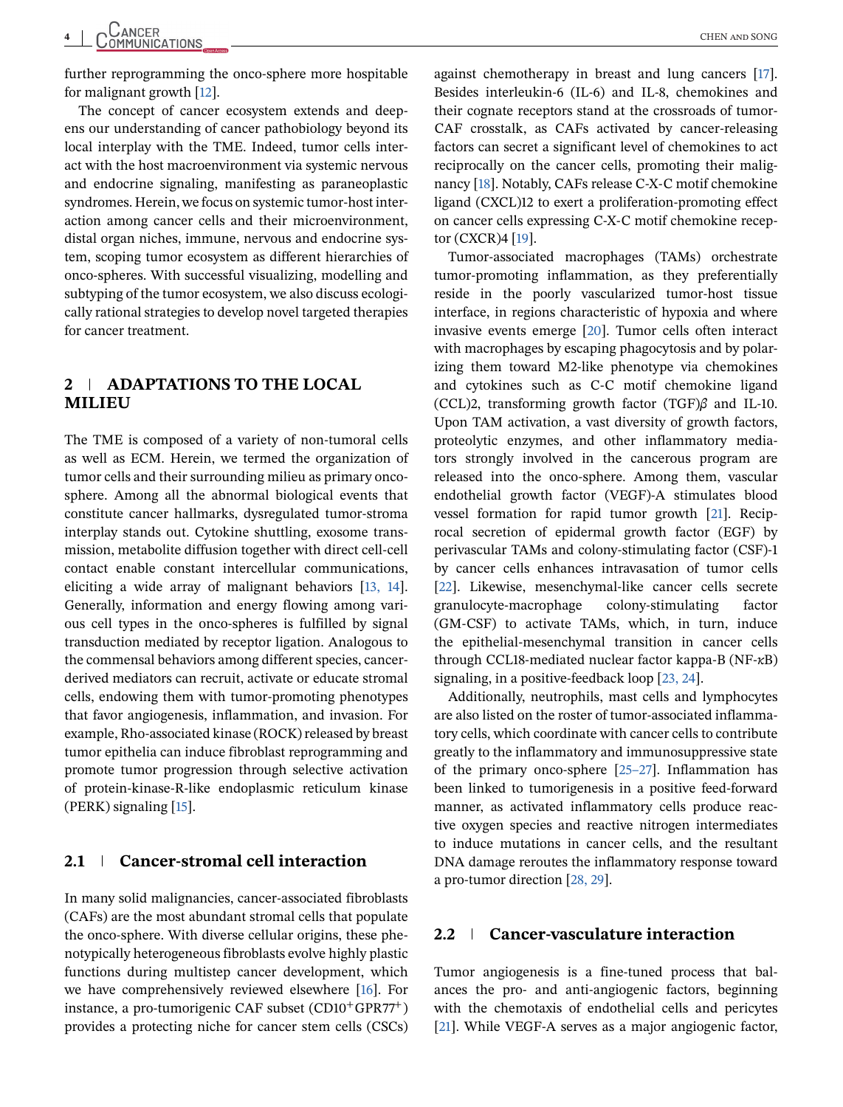further reprogramming the onco-sphere more hospitable for malignant growth [\[12\]](#page-16-0).

The concept of cancer ecosystem extends and deepens our understanding of cancer pathobiology beyond its local interplay with the TME. Indeed, tumor cells interact with the host macroenvironment via systemic nervous and endocrine signaling, manifesting as paraneoplastic syndromes. Herein, we focus on systemic tumor-host interaction among cancer cells and their microenvironment, distal organ niches, immune, nervous and endocrine system, scoping tumor ecosystem as different hierarchies of onco-spheres. With successful visualizing, modelling and subtyping of the tumor ecosystem, we also discuss ecologically rational strategies to develop novel targeted therapies for cancer treatment.

#### **2 ADAPTATIONS TO THE LOCAL MILIEU**

The TME is composed of a variety of non-tumoral cells as well as ECM. Herein, we termed the organization of tumor cells and their surrounding milieu as primary oncosphere. Among all the abnormal biological events that constitute cancer hallmarks, dysregulated tumor-stroma interplay stands out. Cytokine shuttling, exosome transmission, metabolite diffusion together with direct cell-cell contact enable constant intercellular communications, eliciting a wide array of malignant behaviors [\[13, 14\]](#page-16-0). Generally, information and energy flowing among various cell types in the onco-spheres is fulfilled by signal transduction mediated by receptor ligation. Analogous to the commensal behaviors among different species, cancerderived mediators can recruit, activate or educate stromal cells, endowing them with tumor-promoting phenotypes that favor angiogenesis, inflammation, and invasion. For example, Rho-associated kinase (ROCK) released by breast tumor epithelia can induce fibroblast reprogramming and promote tumor progression through selective activation of protein-kinase-R-like endoplasmic reticulum kinase (PERK) signaling [\[15\]](#page-16-0).

#### **2.1 Cancer-stromal cell interaction**

In many solid malignancies, cancer-associated fibroblasts (CAFs) are the most abundant stromal cells that populate the onco-sphere. With diverse cellular origins, these phenotypically heterogeneous fibroblasts evolve highly plastic functions during multistep cancer development, which we have comprehensively reviewed elsewhere [\[16\]](#page-16-0). For instance, a pro-tumorigenic CAF subset  $(CD10^+GPR77^+)$ provides a protecting niche for cancer stem cells (CSCs) against chemotherapy in breast and lung cancers [\[17\]](#page-16-0). Besides interleukin-6 (IL-6) and IL-8, chemokines and their cognate receptors stand at the crossroads of tumor-CAF crosstalk, as CAFs activated by cancer-releasing factors can secret a significant level of chemokines to act reciprocally on the cancer cells, promoting their malignancy [\[18\]](#page-16-0). Notably, CAFs release C-X-C motif chemokine ligand (CXCL)12 to exert a proliferation-promoting effect on cancer cells expressing C-X-C motif chemokine receptor (CXCR)4 [\[19\]](#page-16-0).

Tumor-associated macrophages (TAMs) orchestrate tumor-promoting inflammation, as they preferentially reside in the poorly vascularized tumor-host tissue interface, in regions characteristic of hypoxia and where invasive events emerge [\[20\]](#page-16-0). Tumor cells often interact with macrophages by escaping phagocytosis and by polarizing them toward M2-like phenotype via chemokines and cytokines such as C-C motif chemokine ligand (CCL)2, transforming growth factor (TGF)*β* and IL-10. Upon TAM activation, a vast diversity of growth factors, proteolytic enzymes, and other inflammatory mediators strongly involved in the cancerous program are released into the onco-sphere. Among them, vascular endothelial growth factor (VEGF)-A stimulates blood vessel formation for rapid tumor growth [\[21\]](#page-16-0). Reciprocal secretion of epidermal growth factor (EGF) by perivascular TAMs and colony-stimulating factor (CSF)-1 by cancer cells enhances intravasation of tumor cells [\[22\]](#page-16-0). Likewise, mesenchymal-like cancer cells secrete granulocyte-macrophage colony-stimulating factor (GM-CSF) to activate TAMs, which, in turn, induce the epithelial-mesenchymal transition in cancer cells through CCL18-mediated nuclear factor kappa-B (NF-*κ*B) signaling, in a positive-feedback loop [\[23, 24\]](#page-17-0).

Additionally, neutrophils, mast cells and lymphocytes are also listed on the roster of tumor-associated inflammatory cells, which coordinate with cancer cells to contribute greatly to the inflammatory and immunosuppressive state of the primary onco-sphere [\[25–27\]](#page-17-0). Inflammation has been linked to tumorigenesis in a positive feed-forward manner, as activated inflammatory cells produce reactive oxygen species and reactive nitrogen intermediates to induce mutations in cancer cells, and the resultant DNA damage reroutes the inflammatory response toward a pro-tumor direction [\[28, 29\]](#page-17-0).

#### **2.2 Cancer-vasculature interaction**

Tumor angiogenesis is a fine-tuned process that balances the pro- and anti-angiogenic factors, beginning with the chemotaxis of endothelial cells and pericytes [\[21\]](#page-16-0). While VEGF-A serves as a major angiogenic factor,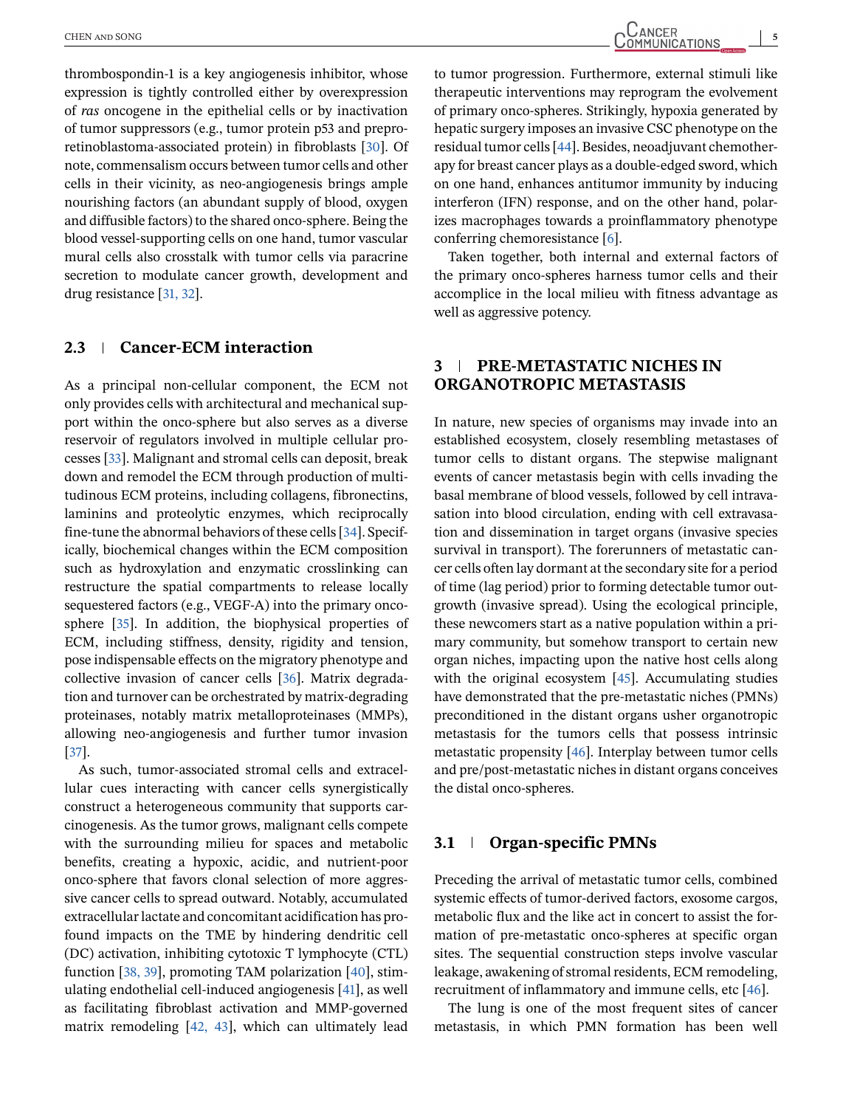thrombospondin-1 is a key angiogenesis inhibitor, whose expression is tightly controlled either by overexpression of *ras* oncogene in the epithelial cells or by inactivation of tumor suppressors (e.g., tumor protein p53 and preproretinoblastoma-associated protein) in fibroblasts [\[30\]](#page-17-0). Of note, commensalism occurs between tumor cells and other cells in their vicinity, as neo-angiogenesis brings ample nourishing factors (an abundant supply of blood, oxygen and diffusible factors) to the shared onco-sphere. Being the blood vessel-supporting cells on one hand, tumor vascular mural cells also crosstalk with tumor cells via paracrine secretion to modulate cancer growth, development and drug resistance [\[31, 32\]](#page-17-0).

#### **2.3 Cancer-ECM interaction**

As a principal non-cellular component, the ECM not only provides cells with architectural and mechanical support within the onco-sphere but also serves as a diverse reservoir of regulators involved in multiple cellular processes [\[33\]](#page-17-0). Malignant and stromal cells can deposit, break down and remodel the ECM through production of multitudinous ECM proteins, including collagens, fibronectins, laminins and proteolytic enzymes, which reciprocally fine-tune the abnormal behaviors of these cells [\[34\]](#page-17-0). Specifically, biochemical changes within the ECM composition such as hydroxylation and enzymatic crosslinking can restructure the spatial compartments to release locally sequestered factors (e.g., VEGF-A) into the primary oncosphere [\[35\]](#page-17-0). In addition, the biophysical properties of ECM, including stiffness, density, rigidity and tension, pose indispensable effects on the migratory phenotype and collective invasion of cancer cells [\[36\]](#page-17-0). Matrix degradation and turnover can be orchestrated by matrix-degrading proteinases, notably matrix metalloproteinases (MMPs), allowing neo-angiogenesis and further tumor invasion [\[37\]](#page-17-0).

As such, tumor-associated stromal cells and extracellular cues interacting with cancer cells synergistically construct a heterogeneous community that supports carcinogenesis. As the tumor grows, malignant cells compete with the surrounding milieu for spaces and metabolic benefits, creating a hypoxic, acidic, and nutrient-poor onco-sphere that favors clonal selection of more aggressive cancer cells to spread outward. Notably, accumulated extracellular lactate and concomitant acidification has profound impacts on the TME by hindering dendritic cell (DC) activation, inhibiting cytotoxic T lymphocyte (CTL) function [\[38, 39\]](#page-17-0), promoting TAM polarization [\[40\]](#page-17-0), stimulating endothelial cell-induced angiogenesis [\[41\]](#page-17-0), as well as facilitating fibroblast activation and MMP-governed matrix remodeling [\[42, 43\]](#page-17-0), which can ultimately lead

to tumor progression. Furthermore, external stimuli like therapeutic interventions may reprogram the evolvement of primary onco-spheres. Strikingly, hypoxia generated by hepatic surgery imposes an invasive CSC phenotype on the residual tumor cells [\[44\]](#page-17-0). Besides, neoadjuvant chemotherapy for breast cancer plays as a double-edged sword, which on one hand, enhances antitumor immunity by inducing interferon (IFN) response, and on the other hand, polarizes macrophages towards a proinflammatory phenotype conferring chemoresistance [\[6\]](#page-16-0).

Taken together, both internal and external factors of the primary onco-spheres harness tumor cells and their accomplice in the local milieu with fitness advantage as well as aggressive potency.

#### **3 PRE-METASTATIC NICHES IN ORGANOTROPIC METASTASIS**

In nature, new species of organisms may invade into an established ecosystem, closely resembling metastases of tumor cells to distant organs. The stepwise malignant events of cancer metastasis begin with cells invading the basal membrane of blood vessels, followed by cell intravasation into blood circulation, ending with cell extravasation and dissemination in target organs (invasive species survival in transport). The forerunners of metastatic cancer cells often lay dormant at the secondary site for a period of time (lag period) prior to forming detectable tumor outgrowth (invasive spread). Using the ecological principle, these newcomers start as a native population within a primary community, but somehow transport to certain new organ niches, impacting upon the native host cells along with the original ecosystem [\[45\]](#page-17-0). Accumulating studies have demonstrated that the pre-metastatic niches (PMNs) preconditioned in the distant organs usher organotropic metastasis for the tumors cells that possess intrinsic metastatic propensity [\[46\]](#page-17-0). Interplay between tumor cells and pre/post-metastatic niches in distant organs conceives the distal onco-spheres.

#### **3.1 Organ-specific PMNs**

Preceding the arrival of metastatic tumor cells, combined systemic effects of tumor-derived factors, exosome cargos, metabolic flux and the like act in concert to assist the formation of pre-metastatic onco-spheres at specific organ sites. The sequential construction steps involve vascular leakage, awakening of stromal residents, ECM remodeling, recruitment of inflammatory and immune cells, etc [\[46\]](#page-17-0).

The lung is one of the most frequent sites of cancer metastasis, in which PMN formation has been well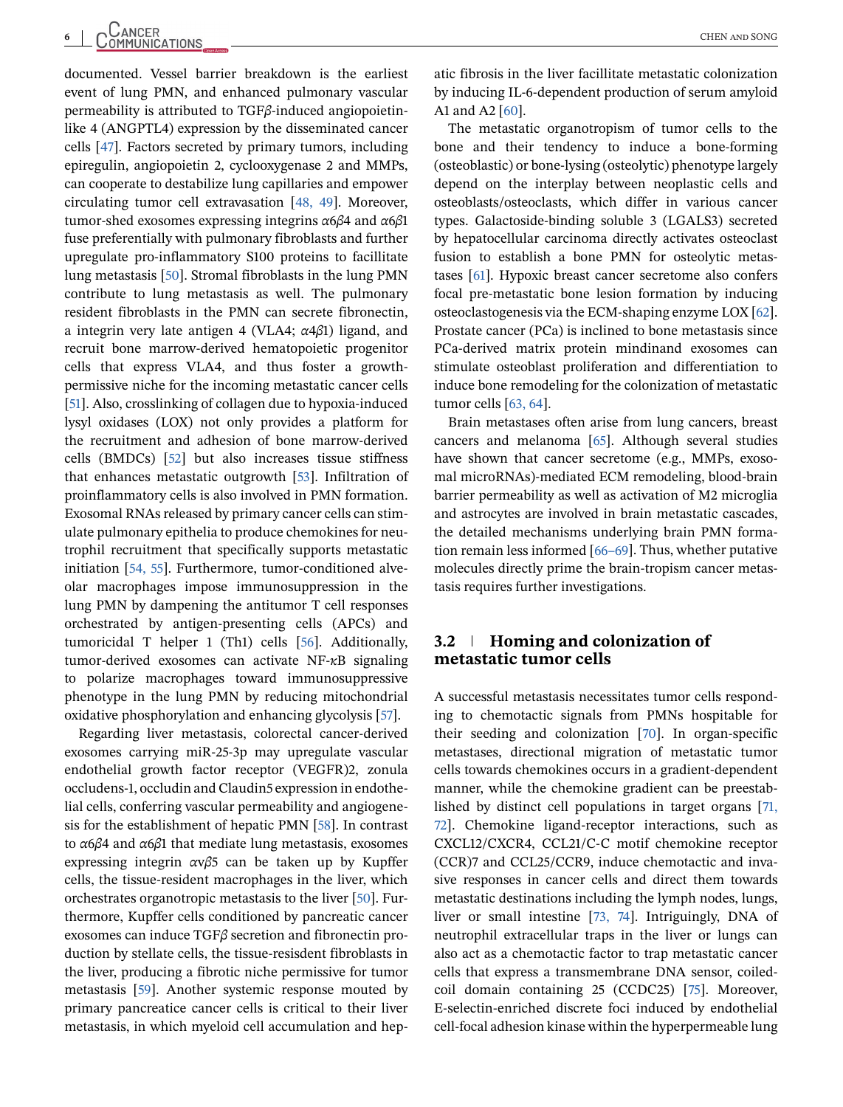documented. Vessel barrier breakdown is the earliest event of lung PMN, and enhanced pulmonary vascular permeability is attributed to TGF*β*-induced angiopoietinlike 4 (ANGPTL4) expression by the disseminated cancer cells [\[47\]](#page-17-0). Factors secreted by primary tumors, including epiregulin, angiopoietin 2, cyclooxygenase 2 and MMPs, can cooperate to destabilize lung capillaries and empower circulating tumor cell extravasation [\[48, 49\]](#page-17-0). Moreover, tumor-shed exosomes expressing integrins *α*6*β*4 and *α*6*β*1 fuse preferentially with pulmonary fibroblasts and further upregulate pro-inflammatory S100 proteins to facillitate lung metastasis [\[50\]](#page-17-0). Stromal fibroblasts in the lung PMN contribute to lung metastasis as well. The pulmonary resident fibroblasts in the PMN can secrete fibronectin, a integrin very late antigen 4 (VLA4; *α*4*β*1) ligand, and recruit bone marrow-derived hematopoietic progenitor cells that express VLA4, and thus foster a growthpermissive niche for the incoming metastatic cancer cells [\[51\]](#page-17-0). Also, crosslinking of collagen due to hypoxia-induced lysyl oxidases (LOX) not only provides a platform for the recruitment and adhesion of bone marrow-derived cells (BMDCs) [\[52\]](#page-17-0) but also increases tissue stiffness that enhances metastatic outgrowth [\[53\]](#page-17-0). Infiltration of proinflammatory cells is also involved in PMN formation. Exosomal RNAs released by primary cancer cells can stimulate pulmonary epithelia to produce chemokines for neutrophil recruitment that specifically supports metastatic initiation [\[54, 55\]](#page-17-0). Furthermore, tumor-conditioned alveolar macrophages impose immunosuppression in the lung PMN by dampening the antitumor T cell responses orchestrated by antigen-presenting cells (APCs) and tumoricidal T helper 1 (Th1) cells [\[56\]](#page-17-0). Additionally, tumor-derived exosomes can activate NF-*κ*B signaling to polarize macrophages toward immunosuppressive phenotype in the lung PMN by reducing mitochondrial oxidative phosphorylation and enhancing glycolysis [\[57\]](#page-18-0).

Regarding liver metastasis, colorectal cancer-derived exosomes carrying miR-25-3p may upregulate vascular endothelial growth factor receptor (VEGFR)2, zonula occludens-1, occludin and Claudin5 expression in endothelial cells, conferring vascular permeability and angiogenesis for the establishment of hepatic PMN [\[58\]](#page-18-0). In contrast to *α*6*β*4 and *α*6*β*1 that mediate lung metastasis, exosomes expressing integrin *α*v*β*5 can be taken up by Kupffer cells, the tissue-resident macrophages in the liver, which orchestrates organotropic metastasis to the liver [\[50\]](#page-17-0). Furthermore, Kupffer cells conditioned by pancreatic cancer exosomes can induce TGF*β* secretion and fibronectin production by stellate cells, the tissue-resisdent fibroblasts in the liver, producing a fibrotic niche permissive for tumor metastasis [\[59\]](#page-18-0). Another systemic response mouted by primary pancreatice cancer cells is critical to their liver metastasis, in which myeloid cell accumulation and hepatic fibrosis in the liver facillitate metastatic colonization by inducing IL-6-dependent production of serum amyloid A1 and A2 [\[60\]](#page-18-0).

The metastatic organotropism of tumor cells to the bone and their tendency to induce a bone-forming (osteoblastic) or bone-lysing (osteolytic) phenotype largely depend on the interplay between neoplastic cells and osteoblasts/osteoclasts, which differ in various cancer types. Galactoside-binding soluble 3 (LGALS3) secreted by hepatocellular carcinoma directly activates osteoclast fusion to establish a bone PMN for osteolytic metastases [\[61\]](#page-18-0). Hypoxic breast cancer secretome also confers focal pre-metastatic bone lesion formation by inducing osteoclastogenesis via the ECM-shaping enzyme LOX [\[62\]](#page-18-0). Prostate cancer (PCa) is inclined to bone metastasis since PCa-derived matrix protein mindinand exosomes can stimulate osteoblast proliferation and differentiation to induce bone remodeling for the colonization of metastatic tumor cells [\[63, 64\]](#page-18-0).

Brain metastases often arise from lung cancers, breast cancers and melanoma [\[65\]](#page-18-0). Although several studies have shown that cancer secretome (e.g., MMPs, exosomal microRNAs)-mediated ECM remodeling, blood-brain barrier permeability as well as activation of M2 microglia and astrocytes are involved in brain metastatic cascades, the detailed mechanisms underlying brain PMN formation remain less informed [\[66–69\]](#page-18-0). Thus, whether putative molecules directly prime the brain-tropism cancer metastasis requires further investigations.

#### **3.2 Homing and colonization of metastatic tumor cells**

A successful metastasis necessitates tumor cells responding to chemotactic signals from PMNs hospitable for their seeding and colonization [\[70\]](#page-18-0). In organ-specific metastases, directional migration of metastatic tumor cells towards chemokines occurs in a gradient-dependent manner, while the chemokine gradient can be preestablished by distinct cell populations in target organs [\[71,](#page-18-0) [72\]](#page-18-0). Chemokine ligand-receptor interactions, such as CXCL12/CXCR4, CCL21/C-C motif chemokine receptor (CCR)7 and CCL25/CCR9, induce chemotactic and invasive responses in cancer cells and direct them towards metastatic destinations including the lymph nodes, lungs, liver or small intestine [\[73, 74\]](#page-18-0). Intriguingly, DNA of neutrophil extracellular traps in the liver or lungs can also act as a chemotactic factor to trap metastatic cancer cells that express a transmembrane DNA sensor, coiledcoil domain containing 25 (CCDC25) [\[75\]](#page-18-0). Moreover, E-selectin-enriched discrete foci induced by endothelial cell-focal adhesion kinase within the hyperpermeable lung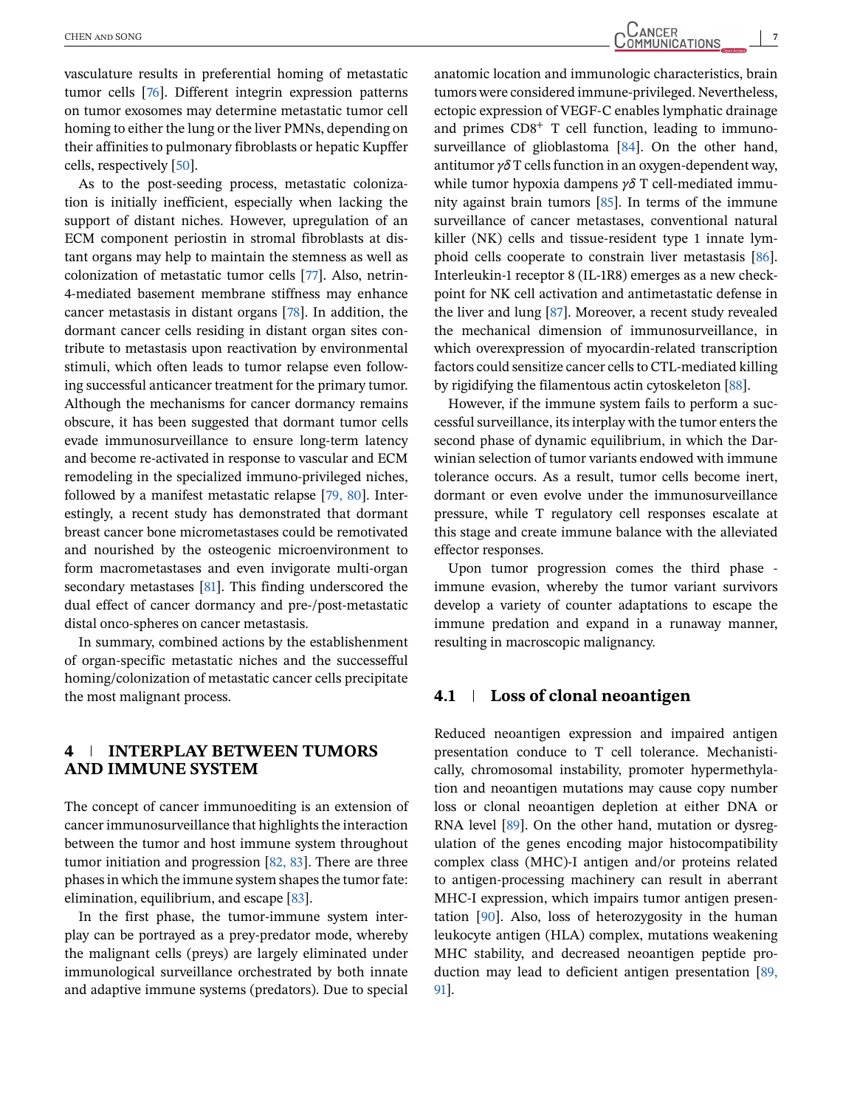vasculature results in preferential homing of metastatic tumor cells [\[76\]](#page-18-0). Different integrin expression patterns on tumor exosomes may determine metastatic tumor cell homing to either the lung or the liver PMNs, depending on their affinities to pulmonary fibroblasts or hepatic Kupffer cells, respectively [\[50\]](#page-17-0).

As to the post-seeding process, metastatic colonization is initially inefficient, especially when lacking the support of distant niches. However, upregulation of an ECM component periostin in stromal fibroblasts at distant organs may help to maintain the stemness as well as colonization of metastatic tumor cells [\[77\]](#page-18-0). Also, netrin-4-mediated basement membrane stiffness may enhance cancer metastasis in distant organs [\[78\]](#page-18-0). In addition, the dormant cancer cells residing in distant organ sites contribute to metastasis upon reactivation by environmental stimuli, which often leads to tumor relapse even following successful anticancer treatment for the primary tumor. Although the mechanisms for cancer dormancy remains obscure, it has been suggested that dormant tumor cells evade immunosurveillance to ensure long-term latency and become re-activated in response to vascular and ECM remodeling in the specialized immuno-privileged niches, followed by a manifest metastatic relapse [\[79, 80\]](#page-18-0). Interestingly, a recent study has demonstrated that dormant breast cancer bone micrometastases could be remotivated and nourished by the osteogenic microenvironment to form macrometastases and even invigorate multi-organ secondary metastases [\[81\]](#page-18-0). This finding underscored the dual effect of cancer dormancy and pre-/post-metastatic distal onco-spheres on cancer metastasis.

In summary, combined actions by the establishenment of organ-specific metastatic niches and the successefful homing/colonization of metastatic cancer cells precipitate the most malignant process.

### **4 INTERPLAY BETWEEN TUMORS AND IMMUNE SYSTEM**

The concept of cancer immunoediting is an extension of cancer immunosurveillance that highlights the interaction between the tumor and host immune system throughout tumor initiation and progression [\[82, 83\]](#page-18-0). There are three phases in which the immune system shapes the tumor fate: elimination, equilibrium, and escape [\[83\]](#page-18-0).

In the first phase, the tumor-immune system interplay can be portrayed as a prey-predator mode, whereby the malignant cells (preys) are largely eliminated under immunological surveillance orchestrated by both innate and adaptive immune systems (predators). Due to special anatomic location and immunologic characteristics, brain tumors were considered immune-privileged. Nevertheless, ectopic expression of VEGF-C enables lymphatic drainage and primes  $CD8<sup>+</sup>$  T cell function, leading to immunosurveillance of glioblastoma [\[84\]](#page-18-0). On the other hand, antitumor *γδ* T cells function in an oxygen-dependent way, while tumor hypoxia dampens *γδ* T cell-mediated immunity against brain tumors [\[85\]](#page-18-0). In terms of the immune surveillance of cancer metastases, conventional natural killer (NK) cells and tissue-resident type 1 innate lymphoid cells cooperate to constrain liver metastasis [\[86\]](#page-18-0). Interleukin-1 receptor 8 (IL-1R8) emerges as a new checkpoint for NK cell activation and antimetastatic defense in the liver and lung [\[87\]](#page-18-0). Moreover, a recent study revealed the mechanical dimension of immunosurveillance, in which overexpression of myocardin-related transcription factors could sensitize cancer cells to CTL-mediated killing by rigidifying the filamentous actin cytoskeleton [\[88\]](#page-18-0).

However, if the immune system fails to perform a successful surveillance, its interplay with the tumor enters the second phase of dynamic equilibrium, in which the Darwinian selection of tumor variants endowed with immune tolerance occurs. As a result, tumor cells become inert, dormant or even evolve under the immunosurveillance pressure, while T regulatory cell responses escalate at this stage and create immune balance with the alleviated effector responses.

Upon tumor progression comes the third phase immune evasion, whereby the tumor variant survivors develop a variety of counter adaptations to escape the immune predation and expand in a runaway manner, resulting in macroscopic malignancy.

#### **4.1 Loss of clonal neoantigen**

Reduced neoantigen expression and impaired antigen presentation conduce to T cell tolerance. Mechanistically, chromosomal instability, promoter hypermethylation and neoantigen mutations may cause copy number loss or clonal neoantigen depletion at either DNA or RNA level [\[89\]](#page-18-0). On the other hand, mutation or dysregulation of the genes encoding major histocompatibility complex class (MHC)-I antigen and/or proteins related to antigen-processing machinery can result in aberrant MHC-I expression, which impairs tumor antigen presentation [\[90\]](#page-18-0). Also, loss of heterozygosity in the human leukocyte antigen (HLA) complex, mutations weakening MHC stability, and decreased neoantigen peptide production may lead to deficient antigen presentation [\[89,](#page-18-0) [91\]](#page-18-0).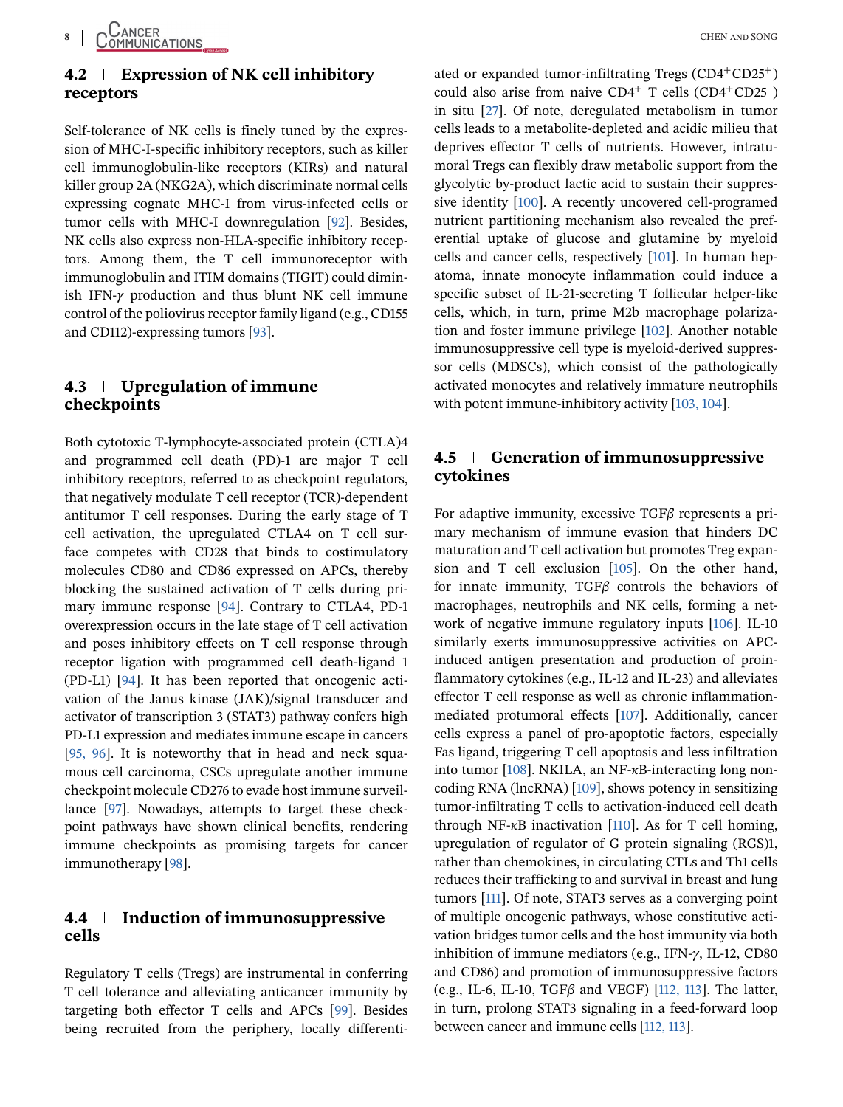## **4.2 Expression of NK cell inhibitory receptors**

Self-tolerance of NK cells is finely tuned by the expression of MHC-I-specific inhibitory receptors, such as killer cell immunoglobulin-like receptors (KIRs) and natural killer group 2A (NKG2A), which discriminate normal cells expressing cognate MHC-I from virus-infected cells or tumor cells with MHC-I downregulation [\[92\]](#page-19-0). Besides, NK cells also express non-HLA-specific inhibitory receptors. Among them, the T cell immunoreceptor with immunoglobulin and ITIM domains (TIGIT) could diminish IFN-*γ* production and thus blunt NK cell immune control of the poliovirus receptor family ligand (e.g., CD155 and CD112)-expressing tumors [\[93\]](#page-19-0).

## **4.3 Upregulation of immune checkpoints**

Both cytotoxic T-lymphocyte-associated protein (CTLA)4 and programmed cell death (PD)-1 are major T cell inhibitory receptors, referred to as checkpoint regulators, that negatively modulate T cell receptor (TCR)-dependent antitumor T cell responses. During the early stage of T cell activation, the upregulated CTLA4 on T cell surface competes with CD28 that binds to costimulatory molecules CD80 and CD86 expressed on APCs, thereby blocking the sustained activation of T cells during primary immune response [\[94\]](#page-19-0). Contrary to CTLA4, PD-1 overexpression occurs in the late stage of T cell activation and poses inhibitory effects on T cell response through receptor ligation with programmed cell death-ligand 1 (PD-L1) [\[94\]](#page-19-0). It has been reported that oncogenic activation of the Janus kinase (JAK)/signal transducer and activator of transcription 3 (STAT3) pathway confers high PD-L1 expression and mediates immune escape in cancers [\[95, 96\]](#page-19-0). It is noteworthy that in head and neck squamous cell carcinoma, CSCs upregulate another immune checkpoint molecule CD276 to evade host immune surveillance [\[97\]](#page-19-0). Nowadays, attempts to target these checkpoint pathways have shown clinical benefits, rendering immune checkpoints as promising targets for cancer immunotherapy [\[98\]](#page-19-0).

## **4.4 Induction of immunosuppressive cells**

Regulatory T cells (Tregs) are instrumental in conferring T cell tolerance and alleviating anticancer immunity by targeting both effector T cells and APCs [\[99\]](#page-19-0). Besides being recruited from the periphery, locally differentiated or expanded tumor-infiltrating Tregs  $(CD4+CD25^+)$ could also arise from naive  $CD4^+$  T cells  $(CD4^+CD25^-)$ in situ [\[27\]](#page-17-0). Of note, deregulated metabolism in tumor cells leads to a metabolite-depleted and acidic milieu that deprives effector T cells of nutrients. However, intratumoral Tregs can flexibly draw metabolic support from the glycolytic by-product lactic acid to sustain their suppressive identity [\[100\]](#page-19-0). A recently uncovered cell-programed nutrient partitioning mechanism also revealed the preferential uptake of glucose and glutamine by myeloid cells and cancer cells, respectively [\[101\]](#page-19-0). In human hepatoma, innate monocyte inflammation could induce a specific subset of IL-21-secreting T follicular helper-like cells, which, in turn, prime M2b macrophage polarization and foster immune privilege [\[102\]](#page-19-0). Another notable immunosuppressive cell type is myeloid-derived suppressor cells (MDSCs), which consist of the pathologically activated monocytes and relatively immature neutrophils with potent immune-inhibitory activity [\[103, 104\]](#page-19-0).

#### **4.5 Generation of immunosuppressive cytokines**

For adaptive immunity, excessive TGF*β* represents a primary mechanism of immune evasion that hinders DC maturation and T cell activation but promotes Treg expansion and T cell exclusion [\[105\]](#page-19-0). On the other hand, for innate immunity, TGF*β* controls the behaviors of macrophages, neutrophils and NK cells, forming a network of negative immune regulatory inputs [\[106\]](#page-19-0). IL-10 similarly exerts immunosuppressive activities on APCinduced antigen presentation and production of proinflammatory cytokines (e.g., IL-12 and IL-23) and alleviates effector T cell response as well as chronic inflammationmediated protumoral effects [\[107\]](#page-19-0). Additionally, cancer cells express a panel of pro-apoptotic factors, especially Fas ligand, triggering T cell apoptosis and less infiltration into tumor [\[108\]](#page-19-0). NKILA, an NF-*κ*B-interacting long noncoding RNA (lncRNA) [\[109\]](#page-19-0), shows potency in sensitizing tumor-infiltrating T cells to activation-induced cell death through NF-*κ*B inactivation [\[110\]](#page-19-0). As for T cell homing, upregulation of regulator of G protein signaling (RGS)1, rather than chemokines, in circulating CTLs and Th1 cells reduces their trafficking to and survival in breast and lung tumors [\[111\]](#page-19-0). Of note, STAT3 serves as a converging point of multiple oncogenic pathways, whose constitutive activation bridges tumor cells and the host immunity via both inhibition of immune mediators (e.g., IFN-*γ*, IL-12, CD80 and CD86) and promotion of immunosuppressive factors (e.g., IL-6, IL-10, TGF*β* and VEGF) [\[112, 113\]](#page-19-0). The latter, in turn, prolong STAT3 signaling in a feed-forward loop between cancer and immune cells [\[112, 113\]](#page-19-0).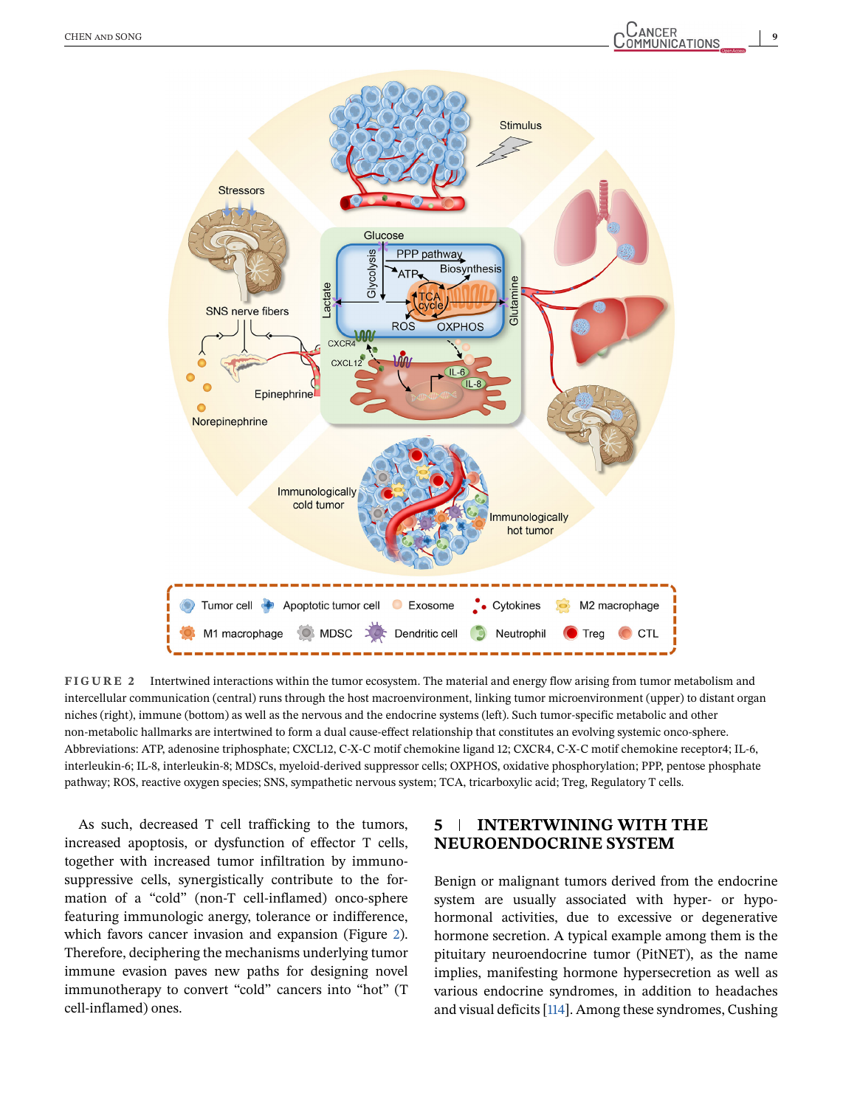

**FIGURE 2** Intertwined interactions within the tumor ecosystem. The material and energy flow arising from tumor metabolism and intercellular communication (central) runs through the host macroenvironment, linking tumor microenvironment (upper) to distant organ niches (right), immune (bottom) as well as the nervous and the endocrine systems (left). Such tumor-specific metabolic and other non-metabolic hallmarks are intertwined to form a dual cause-effect relationship that constitutes an evolving systemic onco-sphere. Abbreviations: ATP, adenosine triphosphate; CXCL12, C-X-C motif chemokine ligand 12; CXCR4, C-X-C motif chemokine receptor4; IL-6, interleukin-6; IL-8, interleukin-8; MDSCs, myeloid-derived suppressor cells; OXPHOS, oxidative phosphorylation; PPP, pentose phosphate pathway; ROS, reactive oxygen species; SNS, sympathetic nervous system; TCA, tricarboxylic acid; Treg, Regulatory T cells.

As such, decreased T cell trafficking to the tumors, increased apoptosis, or dysfunction of effector T cells, together with increased tumor infiltration by immunosuppressive cells, synergistically contribute to the formation of a "cold" (non-T cell-inflamed) onco-sphere featuring immunologic anergy, tolerance or indifference, which favors cancer invasion and expansion (Figure 2). Therefore, deciphering the mechanisms underlying tumor immune evasion paves new paths for designing novel immunotherapy to convert "cold" cancers into "hot" (T cell-inflamed) ones.

## **5 INTERTWINING WITH THE NEUROENDOCRINE SYSTEM**

Benign or malignant tumors derived from the endocrine system are usually associated with hyper- or hypohormonal activities, due to excessive or degenerative hormone secretion. A typical example among them is the pituitary neuroendocrine tumor (PitNET), as the name implies, manifesting hormone hypersecretion as well as various endocrine syndromes, in addition to headaches and visual deficits [\[114\]](#page-19-0). Among these syndromes, Cushing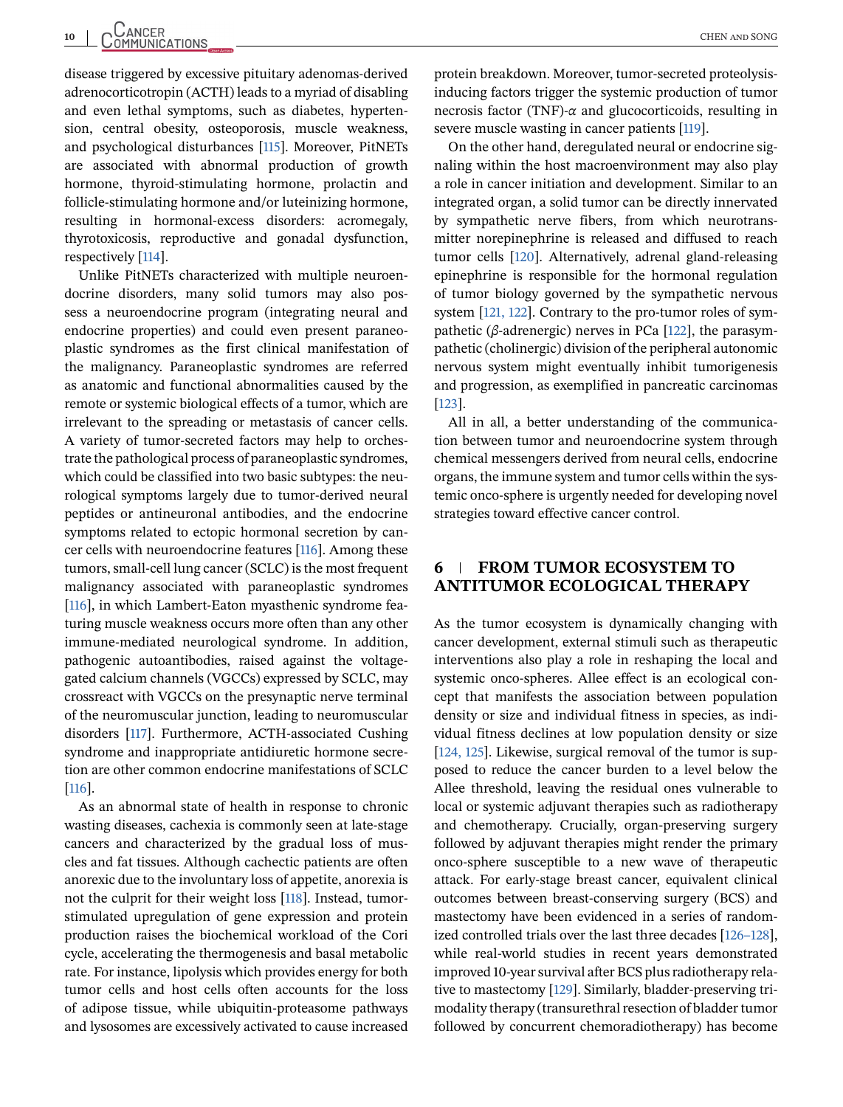disease triggered by excessive pituitary adenomas-derived adrenocorticotropin (ACTH) leads to a myriad of disabling and even lethal symptoms, such as diabetes, hypertension, central obesity, osteoporosis, muscle weakness, and psychological disturbances [\[115\]](#page-19-0). Moreover, PitNETs are associated with abnormal production of growth hormone, thyroid-stimulating hormone, prolactin and follicle-stimulating hormone and/or luteinizing hormone, resulting in hormonal-excess disorders: acromegaly, thyrotoxicosis, reproductive and gonadal dysfunction, respectively [\[114\]](#page-19-0).

Unlike PitNETs characterized with multiple neuroendocrine disorders, many solid tumors may also possess a neuroendocrine program (integrating neural and endocrine properties) and could even present paraneoplastic syndromes as the first clinical manifestation of the malignancy. Paraneoplastic syndromes are referred as anatomic and functional abnormalities caused by the remote or systemic biological effects of a tumor, which are irrelevant to the spreading or metastasis of cancer cells. A variety of tumor-secreted factors may help to orchestrate the pathological process of paraneoplastic syndromes, which could be classified into two basic subtypes: the neurological symptoms largely due to tumor-derived neural peptides or antineuronal antibodies, and the endocrine symptoms related to ectopic hormonal secretion by cancer cells with neuroendocrine features [\[116\]](#page-19-0). Among these tumors, small-cell lung cancer (SCLC) is the most frequent malignancy associated with paraneoplastic syndromes [\[116\]](#page-19-0), in which Lambert-Eaton myasthenic syndrome featuring muscle weakness occurs more often than any other immune-mediated neurological syndrome. In addition, pathogenic autoantibodies, raised against the voltagegated calcium channels (VGCCs) expressed by SCLC, may crossreact with VGCCs on the presynaptic nerve terminal of the neuromuscular junction, leading to neuromuscular disorders [\[117\]](#page-19-0). Furthermore, ACTH-associated Cushing syndrome and inappropriate antidiuretic hormone secretion are other common endocrine manifestations of SCLC [\[116\]](#page-19-0).

As an abnormal state of health in response to chronic wasting diseases, cachexia is commonly seen at late-stage cancers and characterized by the gradual loss of muscles and fat tissues. Although cachectic patients are often anorexic due to the involuntary loss of appetite, anorexia is not the culprit for their weight loss [\[118\]](#page-19-0). Instead, tumorstimulated upregulation of gene expression and protein production raises the biochemical workload of the Cori cycle, accelerating the thermogenesis and basal metabolic rate. For instance, lipolysis which provides energy for both tumor cells and host cells often accounts for the loss of adipose tissue, while ubiquitin-proteasome pathways and lysosomes are excessively activated to cause increased

protein breakdown. Moreover, tumor-secreted proteolysisinducing factors trigger the systemic production of tumor necrosis factor (TNF)-*α* and glucocorticoids, resulting in severe muscle wasting in cancer patients [\[119\]](#page-19-0).

On the other hand, deregulated neural or endocrine signaling within the host macroenvironment may also play a role in cancer initiation and development. Similar to an integrated organ, a solid tumor can be directly innervated by sympathetic nerve fibers, from which neurotransmitter norepinephrine is released and diffused to reach tumor cells [\[120\]](#page-19-0). Alternatively, adrenal gland-releasing epinephrine is responsible for the hormonal regulation of tumor biology governed by the sympathetic nervous system [\[121, 122\]](#page-19-0). Contrary to the pro-tumor roles of sympathetic (*β*-adrenergic) nerves in PCa [\[122\]](#page-19-0), the parasympathetic (cholinergic) division of the peripheral autonomic nervous system might eventually inhibit tumorigenesis and progression, as exemplified in pancreatic carcinomas [\[123\]](#page-19-0).

All in all, a better understanding of the communication between tumor and neuroendocrine system through chemical messengers derived from neural cells, endocrine organs, the immune system and tumor cells within the systemic onco-sphere is urgently needed for developing novel strategies toward effective cancer control.

#### **6 FROM TUMOR ECOSYSTEM TO ANTITUMOR ECOLOGICAL THERAPY**

As the tumor ecosystem is dynamically changing with cancer development, external stimuli such as therapeutic interventions also play a role in reshaping the local and systemic onco-spheres. Allee effect is an ecological concept that manifests the association between population density or size and individual fitness in species, as individual fitness declines at low population density or size [\[124, 125\]](#page-19-0). Likewise, surgical removal of the tumor is supposed to reduce the cancer burden to a level below the Allee threshold, leaving the residual ones vulnerable to local or systemic adjuvant therapies such as radiotherapy and chemotherapy. Crucially, organ-preserving surgery followed by adjuvant therapies might render the primary onco-sphere susceptible to a new wave of therapeutic attack. For early-stage breast cancer, equivalent clinical outcomes between breast-conserving surgery (BCS) and mastectomy have been evidenced in a series of randomized controlled trials over the last three decades [\[126–128\]](#page-19-0), while real-world studies in recent years demonstrated improved 10-year survival after BCS plus radiotherapy relative to mastectomy [\[129\]](#page-20-0). Similarly, bladder-preserving trimodality therapy (transurethral resection of bladder tumor followed by concurrent chemoradiotherapy) has become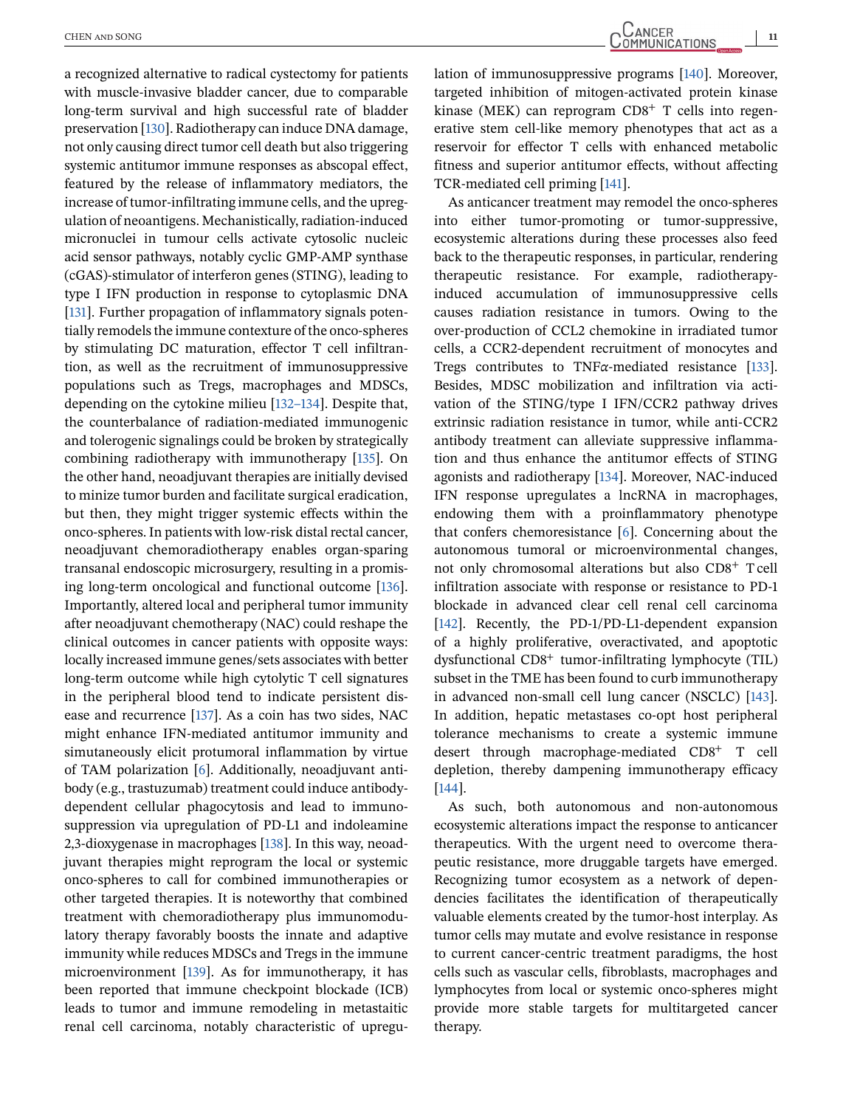a recognized alternative to radical cystectomy for patients with muscle-invasive bladder cancer, due to comparable long-term survival and high successful rate of bladder preservation [\[130\]](#page-20-0). Radiotherapy can induce DNA damage, not only causing direct tumor cell death but also triggering systemic antitumor immune responses as abscopal effect, featured by the release of inflammatory mediators, the increase of tumor-infiltrating immune cells, and the upregulation of neoantigens. Mechanistically, radiation-induced micronuclei in tumour cells activate cytosolic nucleic acid sensor pathways, notably cyclic GMP-AMP synthase (cGAS)-stimulator of interferon genes (STING), leading to type I IFN production in response to cytoplasmic DNA [\[131\]](#page-20-0). Further propagation of inflammatory signals potentially remodels the immune contexture of the onco-spheres by stimulating DC maturation, effector T cell infiltrantion, as well as the recruitment of immunosuppressive populations such as Tregs, macrophages and MDSCs, depending on the cytokine milieu [\[132–134\]](#page-20-0). Despite that, the counterbalance of radiation-mediated immunogenic and tolerogenic signalings could be broken by strategically combining radiotherapy with immunotherapy [\[135\]](#page-20-0). On the other hand, neoadjuvant therapies are initially devised to minize tumor burden and facilitate surgical eradication, but then, they might trigger systemic effects within the onco-spheres. In patients with low-risk distal rectal cancer, neoadjuvant chemoradiotherapy enables organ-sparing transanal endoscopic microsurgery, resulting in a promising long-term oncological and functional outcome [\[136\]](#page-20-0). Importantly, altered local and peripheral tumor immunity after neoadjuvant chemotherapy (NAC) could reshape the clinical outcomes in cancer patients with opposite ways: locally increased immune genes/sets associates with better long-term outcome while high cytolytic T cell signatures in the peripheral blood tend to indicate persistent disease and recurrence [\[137\]](#page-20-0). As a coin has two sides, NAC might enhance IFN-mediated antitumor immunity and simutaneously elicit protumoral inflammation by virtue of TAM polarization [\[6\]](#page-16-0). Additionally, neoadjuvant antibody (e.g., trastuzumab) treatment could induce antibodydependent cellular phagocytosis and lead to immunosuppression via upregulation of PD-L1 and indoleamine 2,3-dioxygenase in macrophages [\[138\]](#page-20-0). In this way, neoadjuvant therapies might reprogram the local or systemic onco-spheres to call for combined immunotherapies or other targeted therapies. It is noteworthy that combined treatment with chemoradiotherapy plus immunomodulatory therapy favorably boosts the innate and adaptive immunity while reduces MDSCs and Tregs in the immune microenvironment [\[139\]](#page-20-0). As for immunotherapy, it has been reported that immune checkpoint blockade (ICB) leads to tumor and immune remodeling in metastaitic renal cell carcinoma, notably characteristic of upregu-

lation of immunosuppressive programs [\[140\]](#page-20-0). Moreover, targeted inhibition of mitogen-activated protein kinase kinase (MEK) can reprogram  $CD8<sup>+</sup>$  T cells into regenerative stem cell-like memory phenotypes that act as a reservoir for effector T cells with enhanced metabolic fitness and superior antitumor effects, without affecting TCR-mediated cell priming [\[141\]](#page-20-0).

As anticancer treatment may remodel the onco-spheres into either tumor-promoting or tumor-suppressive, ecosystemic alterations during these processes also feed back to the therapeutic responses, in particular, rendering therapeutic resistance. For example, radiotherapyinduced accumulation of immunosuppressive cells causes radiation resistance in tumors. Owing to the over-production of CCL2 chemokine in irradiated tumor cells, a CCR2-dependent recruitment of monocytes and Tregs contributes to TNF*α*-mediated resistance [\[133\]](#page-20-0). Besides, MDSC mobilization and infiltration via activation of the STING/type I IFN/CCR2 pathway drives extrinsic radiation resistance in tumor, while anti-CCR2 antibody treatment can alleviate suppressive inflammation and thus enhance the antitumor effects of STING agonists and radiotherapy [\[134\]](#page-20-0). Moreover, NAC-induced IFN response upregulates a lncRNA in macrophages, endowing them with a proinflammatory phenotype that confers chemoresistance [\[6\]](#page-16-0). Concerning about the autonomous tumoral or microenvironmental changes, not only chromosomal alterations but also CD8<sup>+</sup> T cell infiltration associate with response or resistance to PD-1 blockade in advanced clear cell renal cell carcinoma [\[142\]](#page-20-0). Recently, the PD-1/PD-L1-dependent expansion of a highly proliferative, overactivated, and apoptotic dysfunctional CD8<sup>+</sup> tumor-infiltrating lymphocyte (TIL) subset in the TME has been found to curb immunotherapy in advanced non-small cell lung cancer (NSCLC) [\[143\]](#page-20-0). In addition, hepatic metastases co-opt host peripheral tolerance mechanisms to create a systemic immune desert through macrophage-mediated CD8<sup>+</sup> T cell depletion, thereby dampening immunotherapy efficacy [\[144\]](#page-20-0).

As such, both autonomous and non-autonomous ecosystemic alterations impact the response to anticancer therapeutics. With the urgent need to overcome therapeutic resistance, more druggable targets have emerged. Recognizing tumor ecosystem as a network of dependencies facilitates the identification of therapeutically valuable elements created by the tumor-host interplay. As tumor cells may mutate and evolve resistance in response to current cancer-centric treatment paradigms, the host cells such as vascular cells, fibroblasts, macrophages and lymphocytes from local or systemic onco-spheres might provide more stable targets for multitargeted cancer therapy.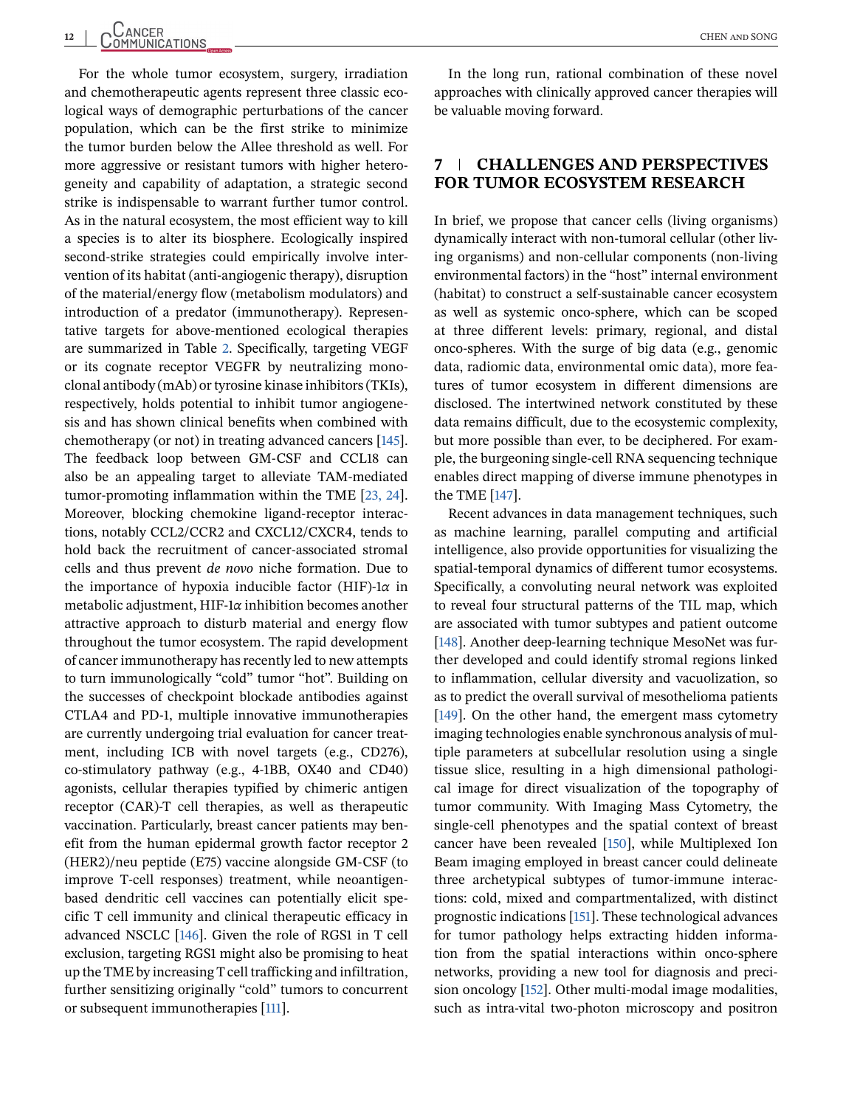For the whole tumor ecosystem, surgery, irradiation and chemotherapeutic agents represent three classic ecological ways of demographic perturbations of the cancer population, which can be the first strike to minimize the tumor burden below the Allee threshold as well. For more aggressive or resistant tumors with higher heterogeneity and capability of adaptation, a strategic second strike is indispensable to warrant further tumor control. As in the natural ecosystem, the most efficient way to kill a species is to alter its biosphere. Ecologically inspired second-strike strategies could empirically involve intervention of its habitat (anti-angiogenic therapy), disruption of the material/energy flow (metabolism modulators) and introduction of a predator (immunotherapy). Representative targets for above-mentioned ecological therapies are summarized in Table [2.](#page-12-0) Specifically, targeting VEGF or its cognate receptor VEGFR by neutralizing monoclonal antibody (mAb) or tyrosine kinase inhibitors (TKIs), respectively, holds potential to inhibit tumor angiogenesis and has shown clinical benefits when combined with chemotherapy (or not) in treating advanced cancers [\[145\]](#page-20-0). The feedback loop between GM-CSF and CCL18 can also be an appealing target to alleviate TAM-mediated tumor-promoting inflammation within the TME [\[23, 24\]](#page-17-0). Moreover, blocking chemokine ligand-receptor interactions, notably CCL2/CCR2 and CXCL12/CXCR4, tends to hold back the recruitment of cancer-associated stromal cells and thus prevent *de novo* niche formation. Due to the importance of hypoxia inducible factor (HIF)-1*α* in metabolic adjustment, HIF-1*α* inhibition becomes another attractive approach to disturb material and energy flow throughout the tumor ecosystem. The rapid development of cancer immunotherapy has recently led to new attempts to turn immunologically "cold" tumor "hot". Building on the successes of checkpoint blockade antibodies against CTLA4 and PD-1, multiple innovative immunotherapies are currently undergoing trial evaluation for cancer treatment, including ICB with novel targets (e.g., CD276), co-stimulatory pathway (e.g., 4-1BB, OX40 and CD40) agonists, cellular therapies typified by chimeric antigen receptor (CAR)-T cell therapies, as well as therapeutic vaccination. Particularly, breast cancer patients may benefit from the human epidermal growth factor receptor 2 (HER2)/neu peptide (E75) vaccine alongside GM-CSF (to improve T-cell responses) treatment, while neoantigenbased dendritic cell vaccines can potentially elicit specific T cell immunity and clinical therapeutic efficacy in advanced NSCLC [\[146\]](#page-20-0). Given the role of RGS1 in T cell exclusion, targeting RGS1 might also be promising to heat up the TME by increasing T cell trafficking and infiltration, further sensitizing originally "cold" tumors to concurrent or subsequent immunotherapies [\[111\]](#page-19-0).

In the long run, rational combination of these novel approaches with clinically approved cancer therapies will be valuable moving forward.

### **7 CHALLENGES AND PERSPECTIVES FOR TUMOR ECOSYSTEM RESEARCH**

In brief, we propose that cancer cells (living organisms) dynamically interact with non-tumoral cellular (other living organisms) and non-cellular components (non-living environmental factors) in the "host" internal environment (habitat) to construct a self-sustainable cancer ecosystem as well as systemic onco-sphere, which can be scoped at three different levels: primary, regional, and distal onco-spheres. With the surge of big data (e.g., genomic data, radiomic data, environmental omic data), more features of tumor ecosystem in different dimensions are disclosed. The intertwined network constituted by these data remains difficult, due to the ecosystemic complexity, but more possible than ever, to be deciphered. For example, the burgeoning single-cell RNA sequencing technique enables direct mapping of diverse immune phenotypes in the TME [\[147\]](#page-20-0).

Recent advances in data management techniques, such as machine learning, parallel computing and artificial intelligence, also provide opportunities for visualizing the spatial-temporal dynamics of different tumor ecosystems. Specifically, a convoluting neural network was exploited to reveal four structural patterns of the TIL map, which are associated with tumor subtypes and patient outcome [\[148\]](#page-20-0). Another deep-learning technique MesoNet was further developed and could identify stromal regions linked to inflammation, cellular diversity and vacuolization, so as to predict the overall survival of mesothelioma patients [\[149\]](#page-20-0). On the other hand, the emergent mass cytometry imaging technologies enable synchronous analysis of multiple parameters at subcellular resolution using a single tissue slice, resulting in a high dimensional pathological image for direct visualization of the topography of tumor community. With Imaging Mass Cytometry, the single-cell phenotypes and the spatial context of breast cancer have been revealed [\[150\]](#page-20-0), while Multiplexed Ion Beam imaging employed in breast cancer could delineate three archetypical subtypes of tumor-immune interactions: cold, mixed and compartmentalized, with distinct prognostic indications [\[151\]](#page-20-0). These technological advances for tumor pathology helps extracting hidden information from the spatial interactions within onco-sphere networks, providing a new tool for diagnosis and precision oncology [\[152\]](#page-20-0). Other multi-modal image modalities, such as intra-vital two-photon microscopy and positron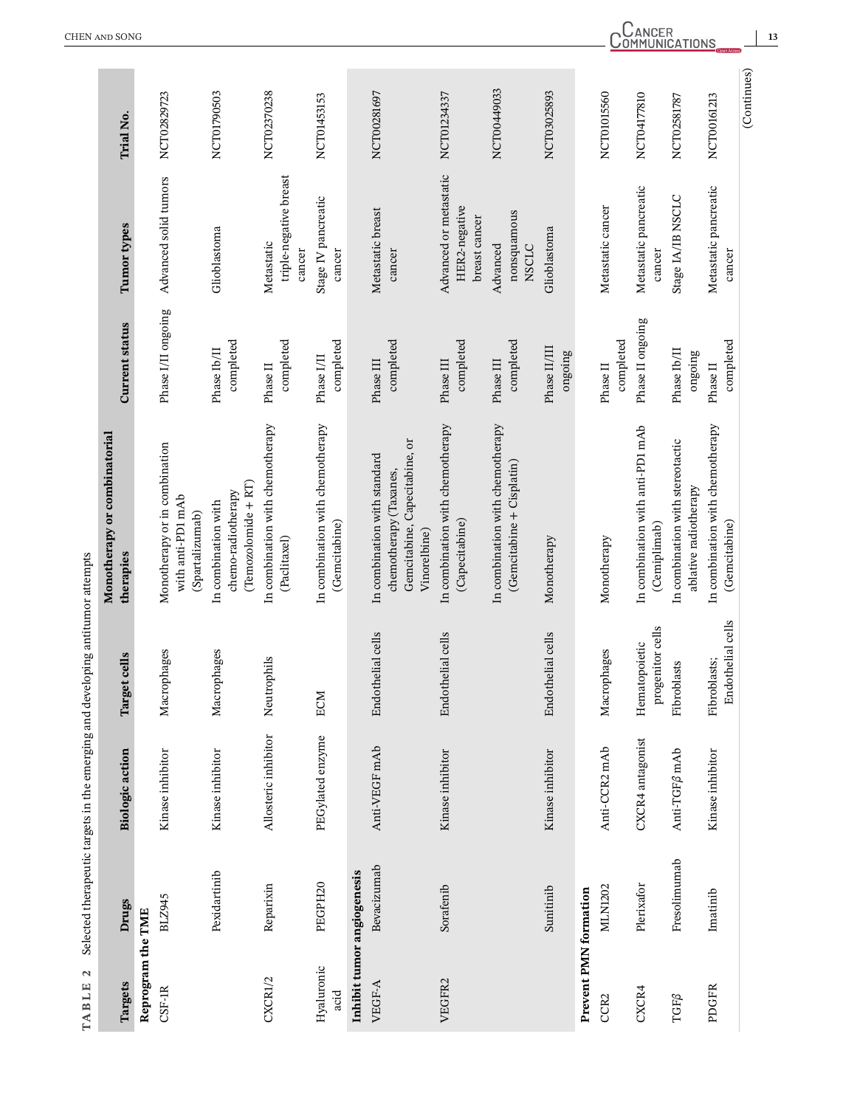<span id="page-12-0"></span>

| TABLE 2                                            |                            | Selected therapeutic targets in the emerging and developing antitumor attempts |                                   |                                                                                                         |                          |                                                          |                  |
|----------------------------------------------------|----------------------------|--------------------------------------------------------------------------------|-----------------------------------|---------------------------------------------------------------------------------------------------------|--------------------------|----------------------------------------------------------|------------------|
| Targets                                            | Drugs                      | <b>Biologic</b> action                                                         | jet cells<br>Targ                 | Monotherapy or combinatorial<br>therapies                                                               | <b>Current status</b>    | Tumor types                                              | <b>Trial No.</b> |
| Reprogram the TME                                  |                            |                                                                                |                                   |                                                                                                         |                          |                                                          |                  |
| $CSF-IR$                                           | BLZ945                     | Kinase inhibitor                                                               | Macrophages                       | Monotherapy or in combination<br>with anti-PD1 mAb<br>(Spartalizumab)                                   | Phase I/II ongoing       | Advanced solid tumors                                    | NCT02829723      |
|                                                    | Pexidartinib               | Kinase inhibitor                                                               | Macrophages                       | $(Temozolomide + RT)$<br>chemo-radiotherapy<br>In combination with                                      | completed<br>Phase Ib/II | Glioblastoma                                             | NCT01790503      |
| CXCR1/2                                            | Reparixin                  | Allosteric inhibitor                                                           | Neutrophils                       | In combination with chemotherapy<br>(Paclitaxel)                                                        | completed<br>Phase II    | triple-negative breast<br>Metastatic<br>cancer           | NCT02370238      |
| Hyaluronic<br>acid                                 | PEGPH20                    | PEGylated enzyme                                                               | ECM                               | In combination with chemotherapy<br>(Gemcitabine)                                                       | completed<br>Phase I/II  | Stage IV pancreatic<br>cancer                            | NCT01453153      |
|                                                    | Inhibit tumor angiogenesis |                                                                                |                                   |                                                                                                         |                          |                                                          |                  |
| VEGF-A                                             | Bevacizumab                | Anti-VEGF mAb                                                                  | Endothelial cells                 | Gemcitabine, Capecitabine, or<br>In combination with standard<br>chemotherapy (Taxanes,<br>Vinorelbine) | completed<br>Phase III   | Metastatic breast<br>cancer                              | NCT00281697      |
| VEGFR2                                             | Sorafenib                  | Kinase inhibitor                                                               | Endothelial cells                 | In combination with chemotherapy<br>(Capecitabine)                                                      | completed<br>Phase III   | Advanced or metastatic<br>HER2-negative<br>breast cancer | NCT01234337      |
|                                                    |                            |                                                                                |                                   | In combination with chemotherapy<br>$(G$ emcitabine + $C$ isplatin $)$                                  | completed<br>Phase III   | nonsquamous<br>Advanced<br><b>NSCLC</b>                  | NCT00449033      |
|                                                    | Sunitinib                  | Kinase inhibitor                                                               | Endothelial cells                 | Monotherapy                                                                                             | Phase II/III<br>ongoing  | Glioblastoma                                             | NCT03025893      |
| Prevent PMN formation                              |                            |                                                                                |                                   |                                                                                                         |                          |                                                          |                  |
| CCR2                                               | MLN1202                    | Anti-CCR2 mAb                                                                  | Macrophages                       | Monotherapy                                                                                             | completed<br>Phase II    | Metastatic cancer                                        | NCT01015560      |
| CXCR4                                              | Plerixafor                 | CXCR4 antagonist                                                               | progenitor cells<br>Hematopoietic | In combination with anti-PD1 mAb<br>(Cemiplimab)                                                        | Phase II ongoing         | Metastatic pancreatic<br>cancer                          | NCT04177810      |
| $\mathbf{T}\mathbf{G}\mathbf{F}\boldsymbol{\beta}$ | Fresolimumab               | Anti-TGF <sub>Ø</sub> mAb                                                      | Fibroblasts                       | In combination with stereotactic<br>ablative radiotherapy                                               | Phase Ib/II<br>ongoing   | Stage IA/IB NSCLC                                        | NCT02581787      |
| PDGFR                                              | Imatinib                   | Kinase inhibitor                                                               | Endothelial cells<br>Fibroblasts; | In combination with chemotherapy<br>(Gemcitabine)                                                       | completed<br>Phase II    | Metastatic pancreatic<br>cancer                          | NCT00161213      |
|                                                    |                            |                                                                                |                                   |                                                                                                         |                          |                                                          | (Continues)      |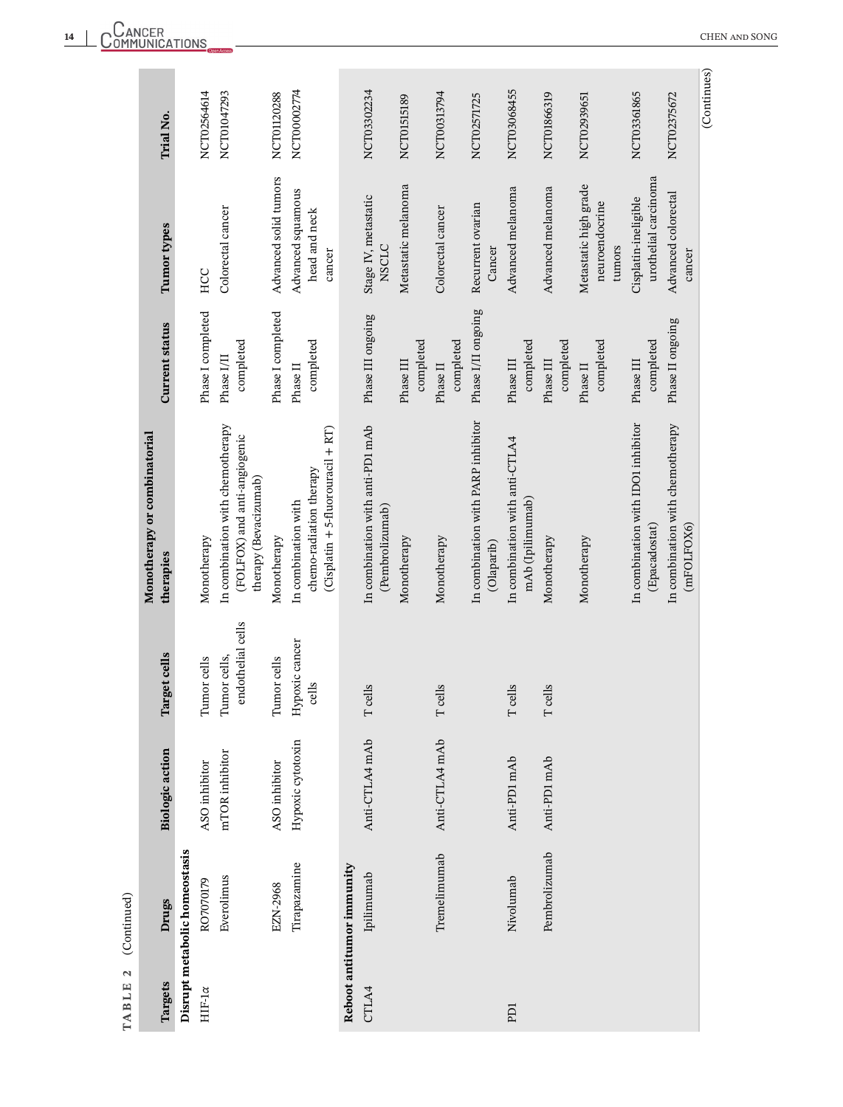| TABLE 2        | (Continued)                   |                        |                                   |                                                                                           |                         |                                                   |             |
|----------------|-------------------------------|------------------------|-----------------------------------|-------------------------------------------------------------------------------------------|-------------------------|---------------------------------------------------|-------------|
|                |                               |                        |                                   | Monotherapy or combinatorial                                                              |                         |                                                   |             |
| Targets        | Drugs                         | <b>Biologic</b> action | Target cells                      | therapies                                                                                 | <b>Current status</b>   | Tumor types                                       | Trial No.   |
|                | Disrupt metabolic homeostasis |                        |                                   |                                                                                           |                         |                                                   |             |
| HIF-1 $\alpha$ | RO7070179                     | ASO inhibitor          | Tumor cells                       | Monotherapy                                                                               | Phase I completed       | HCC                                               | NCT02564614 |
|                | Everolimus                    | mTOR inhibitor         | endothelial cells<br>Tumor cells, | In combination with chemotherapy<br>(FOLFOX) and anti-angiogenic<br>therapy (Bevacizumab) | completed<br>Phase I/II | Colorectal cancer                                 | NCT01047293 |
|                | EZN-2968                      | ASO inhibitor          | Tumor cells                       | Monotherapy                                                                               | Phase I completed       | Advanced solid tumors                             | NCT01120288 |
|                | Tirapazamine                  | Hypoxic cytotoxin      | Hypoxic cancer<br>cells           | (Cisplatin + 5-fluorouracil + RT)<br>chemo-radiation therapy<br>In combination with       | completed<br>Phase II   | Advanced squamous<br>head and neck<br>cancer      | NCT00002774 |
|                | Reboot antitumor immunity     |                        |                                   |                                                                                           |                         |                                                   |             |
| CTLA4          | Ipilimumab                    | Anti-CTLA4 mAb         | T cells                           | In combination with anti-PD1 mAb<br>(Pembrolizumab)                                       | Phase III ongoing       | Stage IV, metastatic<br><b>NSCLC</b>              | NCT03302234 |
|                |                               |                        |                                   | Monotherapy                                                                               | completed<br>Phase III  | Metastatic melanoma                               | NCT01515189 |
|                | Tremelimumab                  | Anti-CTLA4 mAb         | T cells                           | Monotherapy                                                                               | completed<br>Phase II   | Colorectal cancer                                 | NCT00313794 |
|                |                               |                        |                                   | In combination with PARP inhibitor<br>(Olaparib)                                          | Phase I/II ongoing      | Recurrent ovarian<br>Cancer                       | NCT02571725 |
| <b>EQ</b>      | Nivolumab                     | Anti-PD1 mAb           | T cells                           | In combination with anti-CTLA4<br>mAb (Ipilimumab)                                        | completed<br>Phase III  | Advanced melanoma                                 | NCT03068455 |
|                | Pembrolizumab                 | Anti-PD1 mAb           | T cells                           | Monotherapy                                                                               | completed<br>Phase III  | Advanced melanoma                                 | NCT01866319 |
|                |                               |                        |                                   | Monotherapy                                                                               | completed<br>Phase II   | Metastatic high grade<br>neuroendocrine<br>tumors | NCT02939651 |
|                |                               |                        |                                   | In combination with IDO1 inhibitor<br>(Epacadostat)                                       | completed<br>Phase III  | urothelial carcinoma<br>Cisplatin-ineligible      | NCT03361865 |
|                |                               |                        |                                   | In combination with chemotherapy<br>(mFOLFOX6)                                            | Phase II ongoing        | Advanced colorectal<br>cancer                     | NCT02375672 |
|                |                               |                        |                                   |                                                                                           |                         |                                                   | (Continues) |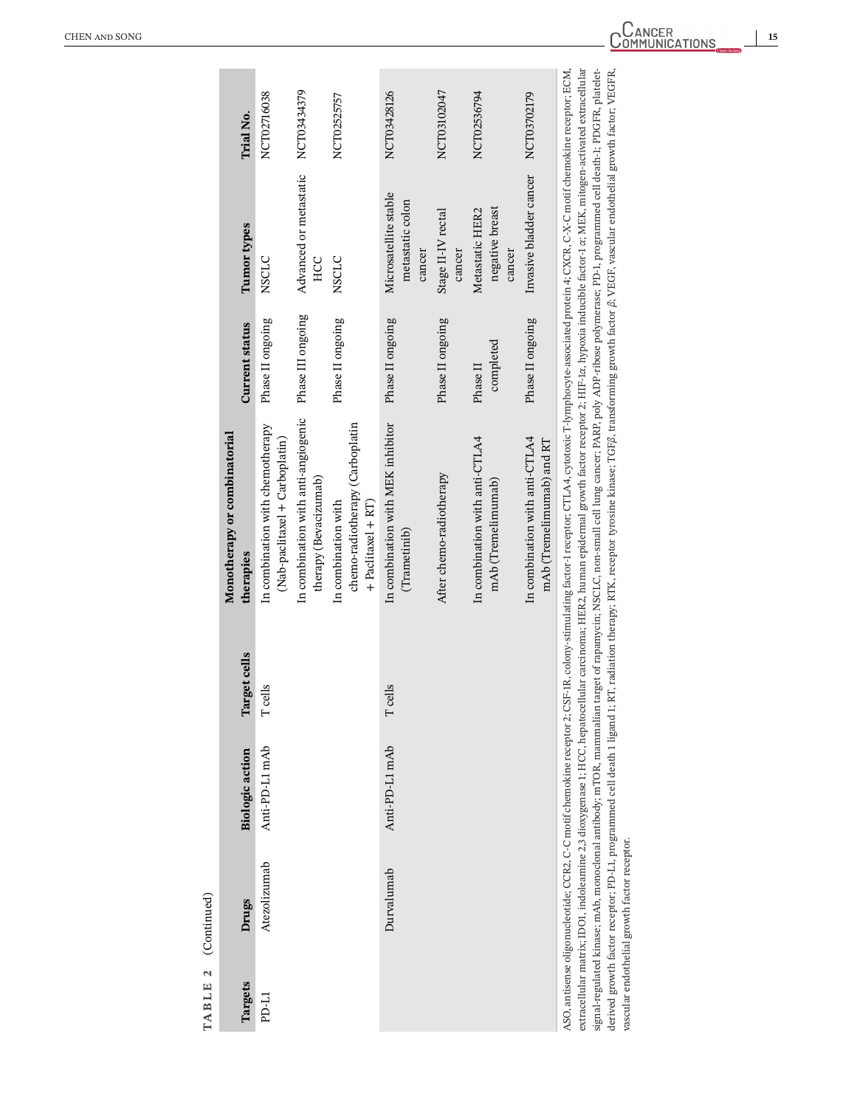| TABLE 2     | (Continued)                                  |                        |              |                                                                                                                                                                                                                                                                                                                                                                                                                                                                                                                                                                                                                                                                                                                                                                                                                                                                                   |                       |                                                     |             |
|-------------|----------------------------------------------|------------------------|--------------|-----------------------------------------------------------------------------------------------------------------------------------------------------------------------------------------------------------------------------------------------------------------------------------------------------------------------------------------------------------------------------------------------------------------------------------------------------------------------------------------------------------------------------------------------------------------------------------------------------------------------------------------------------------------------------------------------------------------------------------------------------------------------------------------------------------------------------------------------------------------------------------|-----------------------|-----------------------------------------------------|-------------|
|             |                                              |                        |              | Monotherapy or combinatorial                                                                                                                                                                                                                                                                                                                                                                                                                                                                                                                                                                                                                                                                                                                                                                                                                                                      |                       |                                                     |             |
| Targets     | Drugs                                        | <b>Biologic action</b> | Target cells | therapies                                                                                                                                                                                                                                                                                                                                                                                                                                                                                                                                                                                                                                                                                                                                                                                                                                                                         | <b>Current status</b> | Tumor types                                         | Trial No.   |
| <b>D-L1</b> | Atezolizumab                                 | Anti-PD-L1 mAb         | T cells      | In combination with chemotherapy<br>(Nab-paclitaxel + Carboplatin)                                                                                                                                                                                                                                                                                                                                                                                                                                                                                                                                                                                                                                                                                                                                                                                                                | Phase II ongoing      | <b>NSCLC</b>                                        | NCT02716038 |
|             |                                              |                        |              | In combination with anti-angiogenic<br>therapy (Bevacizumab)                                                                                                                                                                                                                                                                                                                                                                                                                                                                                                                                                                                                                                                                                                                                                                                                                      | Phase III ongoing     | Advanced or metastatic<br>HCC                       | NCT03434379 |
|             |                                              |                        |              | chemo-radiotherapy (Carboplatin<br>In combination with<br>$+$ Paclitaxel $+$ RT                                                                                                                                                                                                                                                                                                                                                                                                                                                                                                                                                                                                                                                                                                                                                                                                   | Phase II ongoing      | <b>NSCLC</b>                                        | NCT02525757 |
|             | Durvalumab                                   | Anti-PD-L1 mAb         | T cells      | In combination with MEK inhibitor<br>(Trametinib)                                                                                                                                                                                                                                                                                                                                                                                                                                                                                                                                                                                                                                                                                                                                                                                                                                 | Phase II ongoing      | Microsatellite stable<br>metastatic colon<br>cancer | NCT03428126 |
|             |                                              |                        |              | After chemo-radiotherapy                                                                                                                                                                                                                                                                                                                                                                                                                                                                                                                                                                                                                                                                                                                                                                                                                                                          | Phase II ongoing      | Stage II-IV rectal<br>cancer                        | NCT03102047 |
|             |                                              |                        |              | In combination with anti-CTLA4<br>mAb (Tremelimumab)                                                                                                                                                                                                                                                                                                                                                                                                                                                                                                                                                                                                                                                                                                                                                                                                                              | completed<br>Phase II | negative breast<br>Metastatic HER2<br>cancer        | NCT02536794 |
|             |                                              |                        |              | In combination with anti-CTLA4<br>mAb (Tremelimumab) and RT                                                                                                                                                                                                                                                                                                                                                                                                                                                                                                                                                                                                                                                                                                                                                                                                                       | Phase II ongoing      | Invasive bladder cancer                             | NCT03702179 |
|             | vascular endothelial growth factor receptor. |                        |              | extracellular matrix, IDOI, indoleamine 2,3 dioxygenase 1; HCC, hepatocellular carcinoma; HER2, human epidermal growth factor receptor 2; HIF-1α, hypoxia inducible factor-1 α; MEK, mitogen-activated extracellular<br>signal-regulated kinase; mAb, monoclonal antibody; mTOR, mammalian target of rapamycin; NSCLC, non-small cell lung cancer; PARP, poly ADP-ribose polymerase; PD-1, programmed cell death-1; PDGFR, platelet-<br>ASO, antisense oligonucleotide; CCR2, C-C motif chemokine receptor 2; CSF-1R, colony-stimulating factor-1 receptor; CTLA4, cytotoxic T-lymphocyte-associated protein 4; CXCR, C-X-C motif chemokine receptor; ECM,<br>derived growth factor receptor; PD-LL, programmed cell death 1 ligand 1; RT, radiation therapy; RTK, receptor tyrosine kinase; TGFβ, transforming growth factor β; VEGF, vascular endothelial growth factor; VEGFR, |                       |                                                     |             |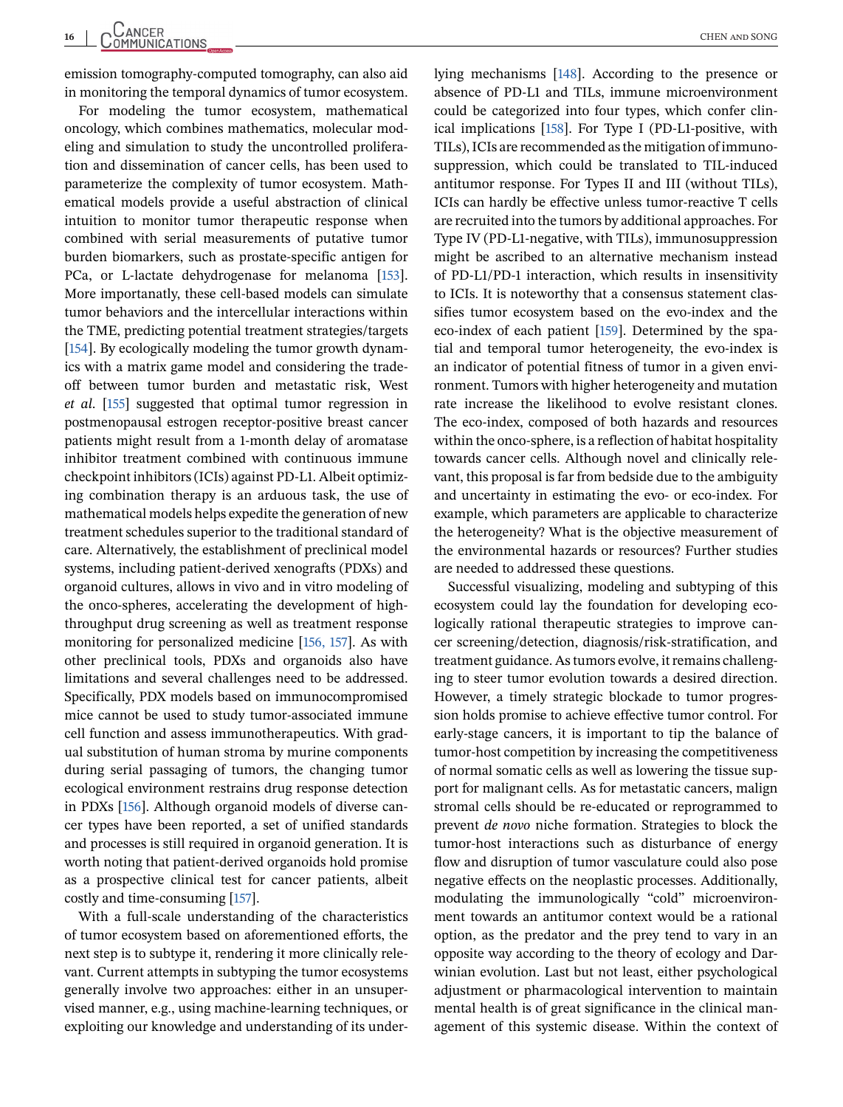emission tomography-computed tomography, can also aid in monitoring the temporal dynamics of tumor ecosystem.

For modeling the tumor ecosystem, mathematical oncology, which combines mathematics, molecular modeling and simulation to study the uncontrolled proliferation and dissemination of cancer cells, has been used to parameterize the complexity of tumor ecosystem. Mathematical models provide a useful abstraction of clinical intuition to monitor tumor therapeutic response when combined with serial measurements of putative tumor burden biomarkers, such as prostate-specific antigen for PCa, or L-lactate dehydrogenase for melanoma [\[153\]](#page-20-0). More importanatly, these cell-based models can simulate tumor behaviors and the intercellular interactions within the TME, predicting potential treatment strategies/targets [\[154\]](#page-20-0). By ecologically modeling the tumor growth dynamics with a matrix game model and considering the tradeoff between tumor burden and metastatic risk, West *et al*. [\[155\]](#page-21-0) suggested that optimal tumor regression in postmenopausal estrogen receptor-positive breast cancer patients might result from a 1-month delay of aromatase inhibitor treatment combined with continuous immune checkpoint inhibitors (ICIs) against PD-L1. Albeit optimizing combination therapy is an arduous task, the use of mathematical models helps expedite the generation of new treatment schedules superior to the traditional standard of care. Alternatively, the establishment of preclinical model systems, including patient-derived xenografts (PDXs) and organoid cultures, allows in vivo and in vitro modeling of the onco-spheres, accelerating the development of highthroughput drug screening as well as treatment response monitoring for personalized medicine [\[156, 157\]](#page-21-0). As with other preclinical tools, PDXs and organoids also have limitations and several challenges need to be addressed. Specifically, PDX models based on immunocompromised mice cannot be used to study tumor-associated immune cell function and assess immunotherapeutics. With gradual substitution of human stroma by murine components during serial passaging of tumors, the changing tumor ecological environment restrains drug response detection in PDXs [\[156\]](#page-21-0). Although organoid models of diverse cancer types have been reported, a set of unified standards and processes is still required in organoid generation. It is worth noting that patient-derived organoids hold promise as a prospective clinical test for cancer patients, albeit costly and time-consuming [\[157\]](#page-21-0).

With a full-scale understanding of the characteristics of tumor ecosystem based on aforementioned efforts, the next step is to subtype it, rendering it more clinically relevant. Current attempts in subtyping the tumor ecosystems generally involve two approaches: either in an unsupervised manner, e.g., using machine-learning techniques, or exploiting our knowledge and understanding of its underlying mechanisms [\[148\]](#page-20-0). According to the presence or absence of PD-L1 and TILs, immune microenvironment could be categorized into four types, which confer clinical implications [\[158\]](#page-21-0). For Type I (PD-L1-positive, with TILs), ICIs are recommended as the mitigation of immunosuppression, which could be translated to TIL-induced antitumor response. For Types II and III (without TILs), ICIs can hardly be effective unless tumor-reactive T cells are recruited into the tumors by additional approaches. For Type IV (PD-L1-negative, with TILs), immunosuppression might be ascribed to an alternative mechanism instead of PD-L1/PD-1 interaction, which results in insensitivity to ICIs. It is noteworthy that a consensus statement classifies tumor ecosystem based on the evo-index and the eco-index of each patient [\[159\]](#page-21-0). Determined by the spatial and temporal tumor heterogeneity, the evo-index is an indicator of potential fitness of tumor in a given environment. Tumors with higher heterogeneity and mutation rate increase the likelihood to evolve resistant clones. The eco-index, composed of both hazards and resources within the onco-sphere, is a reflection of habitat hospitality towards cancer cells. Although novel and clinically relevant, this proposal is far from bedside due to the ambiguity and uncertainty in estimating the evo- or eco-index. For example, which parameters are applicable to characterize the heterogeneity? What is the objective measurement of the environmental hazards or resources? Further studies are needed to addressed these questions.

Successful visualizing, modeling and subtyping of this ecosystem could lay the foundation for developing ecologically rational therapeutic strategies to improve cancer screening/detection, diagnosis/risk-stratification, and treatment guidance. As tumors evolve, it remains challenging to steer tumor evolution towards a desired direction. However, a timely strategic blockade to tumor progression holds promise to achieve effective tumor control. For early-stage cancers, it is important to tip the balance of tumor-host competition by increasing the competitiveness of normal somatic cells as well as lowering the tissue support for malignant cells. As for metastatic cancers, malign stromal cells should be re-educated or reprogrammed to prevent *de novo* niche formation. Strategies to block the tumor-host interactions such as disturbance of energy flow and disruption of tumor vasculature could also pose negative effects on the neoplastic processes. Additionally, modulating the immunologically "cold" microenvironment towards an antitumor context would be a rational option, as the predator and the prey tend to vary in an opposite way according to the theory of ecology and Darwinian evolution. Last but not least, either psychological adjustment or pharmacological intervention to maintain mental health is of great significance in the clinical management of this systemic disease. Within the context of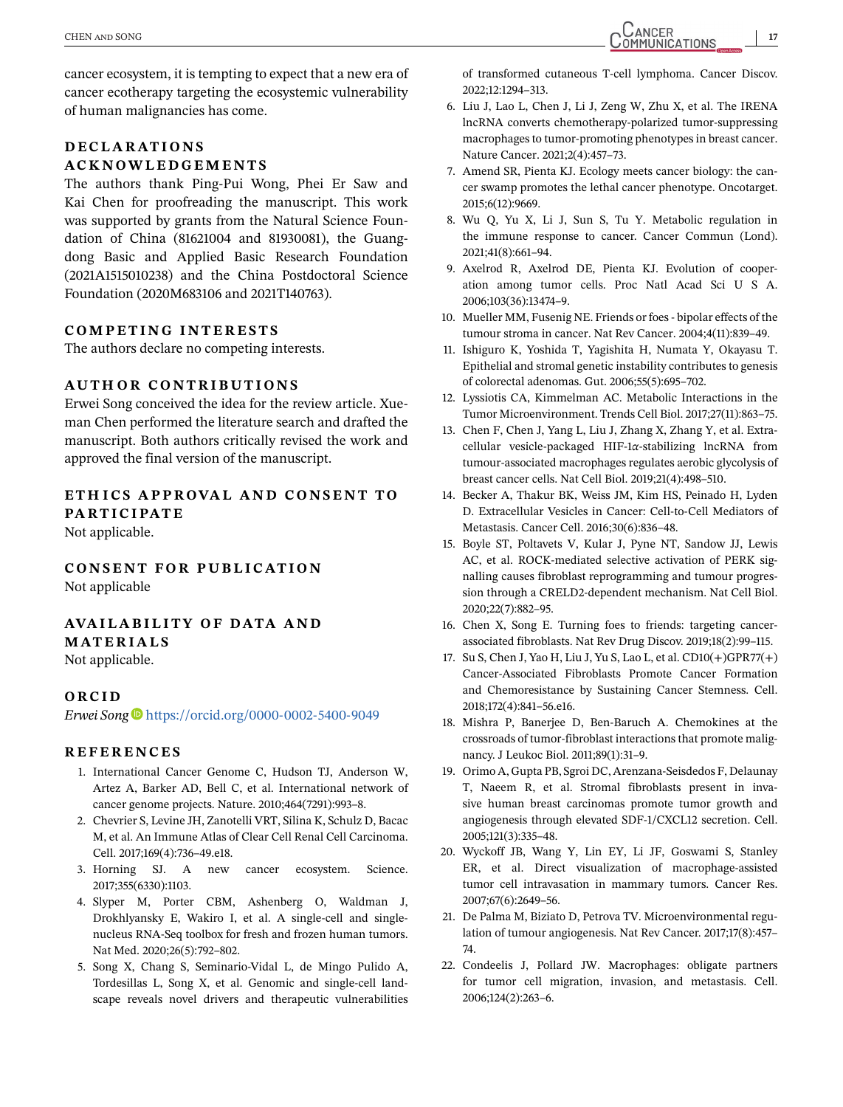<span id="page-16-0"></span>cancer ecosystem, it is tempting to expect that a new era of cancer ecotherapy targeting the ecosystemic vulnerability of human malignancies has come.

#### **DECLARATIONS ACKNOWLEDGEMENTS**

The authors thank Ping-Pui Wong, Phei Er Saw and Kai Chen for proofreading the manuscript. This work was supported by grants from the Natural Science Foundation of China (81621004 and 81930081), the Guangdong Basic and Applied Basic Research Foundation (2021A1515010238) and the China Postdoctoral Science Foundation (2020M683106 and 2021T140763).

#### **COMPETING INTERESTS**

The authors declare no competing interests.

#### **AUTHOR CONTRIBUTIONS**

Erwei Song conceived the idea for the review article. Xueman Chen performed the literature search and drafted the manuscript. Both authors critically revised the work and approved the final version of the manuscript.

## **ETH ICS APPROVAL AND CONSENT TO PARTICIPATE**

Not applicable.

**CONSENT FOR PUBLICATION**

Not applicable

## **AVA ILAB IL ITY OF DATA AND**

## **MATERIALS**

Not applicable.

#### **ORCID**

*Erwei Song* <https://orcid.org/0000-0002-5400-9049>

#### **REFERENCES**

- 1. International Cancer Genome C, Hudson TJ, Anderson W, Artez A, Barker AD, Bell C, et al. International network of cancer genome projects. Nature. 2010;464(7291):993–8.
- 2. Chevrier S, Levine JH, Zanotelli VRT, Silina K, Schulz D, Bacac M, et al. An Immune Atlas of Clear Cell Renal Cell Carcinoma. Cell. 2017;169(4):736–49.e18.
- 3. Horning SJ. A new cancer ecosystem. Science. 2017;355(6330):1103.
- 4. Slyper M, Porter CBM, Ashenberg O, Waldman J, Drokhlyansky E, Wakiro I, et al. A single-cell and singlenucleus RNA-Seq toolbox for fresh and frozen human tumors. Nat Med. 2020;26(5):792–802.
- 5. Song X, Chang S, Seminario-Vidal L, de Mingo Pulido A, Tordesillas L, Song X, et al. Genomic and single-cell landscape reveals novel drivers and therapeutic vulnerabilities

of transformed cutaneous T-cell lymphoma. Cancer Discov. 2022;12:1294–313.

- 6. Liu J, Lao L, Chen J, Li J, Zeng W, Zhu X, et al. The IRENA lncRNA converts chemotherapy-polarized tumor-suppressing macrophages to tumor-promoting phenotypes in breast cancer. Nature Cancer. 2021;2(4):457–73.
- 7. Amend SR, Pienta KJ. Ecology meets cancer biology: the cancer swamp promotes the lethal cancer phenotype. Oncotarget. 2015;6(12):9669.
- 8. Wu Q, Yu X, Li J, Sun S, Tu Y. Metabolic regulation in the immune response to cancer. Cancer Commun (Lond). 2021;41(8):661–94.
- 9. Axelrod R, Axelrod DE, Pienta KJ. Evolution of cooperation among tumor cells. Proc Natl Acad Sci U S A. 2006;103(36):13474–9.
- 10. Mueller MM, Fusenig NE. Friends or foes bipolar effects of the tumour stroma in cancer. Nat Rev Cancer. 2004;4(11):839–49.
- 11. Ishiguro K, Yoshida T, Yagishita H, Numata Y, Okayasu T. Epithelial and stromal genetic instability contributes to genesis of colorectal adenomas. Gut. 2006;55(5):695–702.
- 12. Lyssiotis CA, Kimmelman AC. Metabolic Interactions in the Tumor Microenvironment. Trends Cell Biol. 2017;27(11):863–75.
- 13. Chen F, Chen J, Yang L, Liu J, Zhang X, Zhang Y, et al. Extracellular vesicle-packaged HIF-1*α*-stabilizing lncRNA from tumour-associated macrophages regulates aerobic glycolysis of breast cancer cells. Nat Cell Biol. 2019;21(4):498–510.
- 14. Becker A, Thakur BK, Weiss JM, Kim HS, Peinado H, Lyden D. Extracellular Vesicles in Cancer: Cell-to-Cell Mediators of Metastasis. Cancer Cell. 2016;30(6):836–48.
- 15. Boyle ST, Poltavets V, Kular J, Pyne NT, Sandow JJ, Lewis AC, et al. ROCK-mediated selective activation of PERK signalling causes fibroblast reprogramming and tumour progression through a CRELD2-dependent mechanism. Nat Cell Biol. 2020;22(7):882–95.
- 16. Chen X, Song E. Turning foes to friends: targeting cancerassociated fibroblasts. Nat Rev Drug Discov. 2019;18(2):99–115.
- 17. Su S, Chen J, Yao H, Liu J, Yu S, Lao L, et al. CD10(+)GPR77(+) Cancer-Associated Fibroblasts Promote Cancer Formation and Chemoresistance by Sustaining Cancer Stemness. Cell. 2018;172(4):841–56.e16.
- 18. Mishra P, Banerjee D, Ben-Baruch A. Chemokines at the crossroads of tumor-fibroblast interactions that promote malignancy. J Leukoc Biol. 2011;89(1):31–9.
- 19. Orimo A, Gupta PB, Sgroi DC, Arenzana-Seisdedos F, Delaunay T, Naeem R, et al. Stromal fibroblasts present in invasive human breast carcinomas promote tumor growth and angiogenesis through elevated SDF-1/CXCL12 secretion. Cell. 2005;121(3):335–48.
- 20. Wyckoff JB, Wang Y, Lin EY, Li JF, Goswami S, Stanley ER, et al. Direct visualization of macrophage-assisted tumor cell intravasation in mammary tumors. Cancer Res. 2007;67(6):2649–56.
- 21. De Palma M, Biziato D, Petrova TV. Microenvironmental regulation of tumour angiogenesis. Nat Rev Cancer. 2017;17(8):457– 74.
- 22. Condeelis J, Pollard JW. Macrophages: obligate partners for tumor cell migration, invasion, and metastasis. Cell. 2006;124(2):263–6.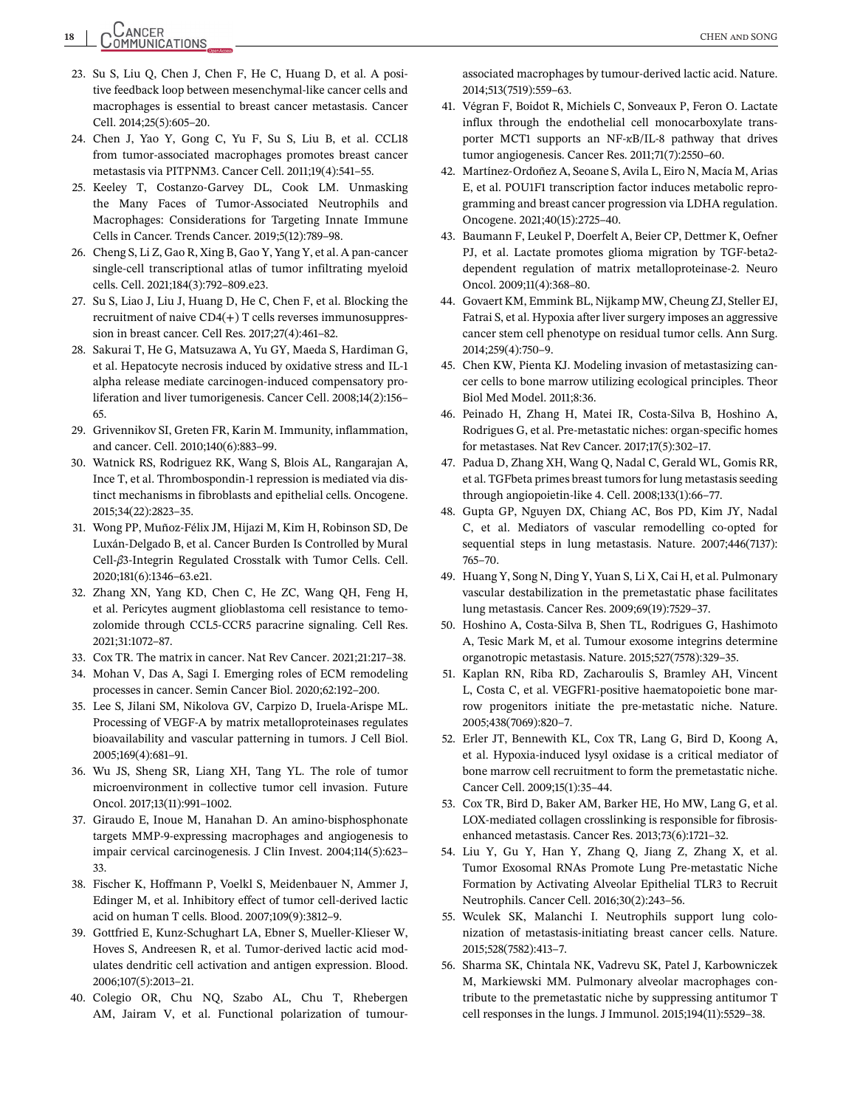<span id="page-17-0"></span>**18** CHEN and SONG

- 23. Su S, Liu Q, Chen J, Chen F, He C, Huang D, et al. A positive feedback loop between mesenchymal-like cancer cells and macrophages is essential to breast cancer metastasis. Cancer Cell. 2014;25(5):605–20.
- 24. Chen J, Yao Y, Gong C, Yu F, Su S, Liu B, et al. CCL18 from tumor-associated macrophages promotes breast cancer metastasis via PITPNM3. Cancer Cell. 2011;19(4):541–55.
- 25. Keeley T, Costanzo-Garvey DL, Cook LM. Unmasking the Many Faces of Tumor-Associated Neutrophils and Macrophages: Considerations for Targeting Innate Immune Cells in Cancer. Trends Cancer. 2019;5(12):789–98.
- 26. Cheng S, Li Z, Gao R, Xing B, Gao Y, Yang Y, et al. A pan-cancer single-cell transcriptional atlas of tumor infiltrating myeloid cells. Cell. 2021;184(3):792–809.e23.
- 27. Su S, Liao J, Liu J, Huang D, He C, Chen F, et al. Blocking the recruitment of naive CD4(+) T cells reverses immunosuppression in breast cancer. Cell Res. 2017;27(4):461–82.
- 28. Sakurai T, He G, Matsuzawa A, Yu GY, Maeda S, Hardiman G, et al. Hepatocyte necrosis induced by oxidative stress and IL-1 alpha release mediate carcinogen-induced compensatory proliferation and liver tumorigenesis. Cancer Cell. 2008;14(2):156– 65.
- 29. Grivennikov SI, Greten FR, Karin M. Immunity, inflammation, and cancer. Cell. 2010;140(6):883–99.
- 30. Watnick RS, Rodriguez RK, Wang S, Blois AL, Rangarajan A, Ince T, et al. Thrombospondin-1 repression is mediated via distinct mechanisms in fibroblasts and epithelial cells. Oncogene. 2015;34(22):2823–35.
- 31. Wong PP, Muñoz-Félix JM, Hijazi M, Kim H, Robinson SD, De Luxán-Delgado B, et al. Cancer Burden Is Controlled by Mural Cell-*β*3-Integrin Regulated Crosstalk with Tumor Cells. Cell. 2020;181(6):1346–63.e21.
- 32. Zhang XN, Yang KD, Chen C, He ZC, Wang QH, Feng H, et al. Pericytes augment glioblastoma cell resistance to temozolomide through CCL5-CCR5 paracrine signaling. Cell Res. 2021;31:1072–87.
- 33. Cox TR. The matrix in cancer. Nat Rev Cancer. 2021;21:217–38.
- 34. Mohan V, Das A, Sagi I. Emerging roles of ECM remodeling processes in cancer. Semin Cancer Biol. 2020;62:192–200.
- 35. Lee S, Jilani SM, Nikolova GV, Carpizo D, Iruela-Arispe ML. Processing of VEGF-A by matrix metalloproteinases regulates bioavailability and vascular patterning in tumors. J Cell Biol. 2005;169(4):681–91.
- 36. Wu JS, Sheng SR, Liang XH, Tang YL. The role of tumor microenvironment in collective tumor cell invasion. Future Oncol. 2017;13(11):991–1002.
- 37. Giraudo E, Inoue M, Hanahan D. An amino-bisphosphonate targets MMP-9-expressing macrophages and angiogenesis to impair cervical carcinogenesis. J Clin Invest. 2004;114(5):623– 33.
- 38. Fischer K, Hoffmann P, Voelkl S, Meidenbauer N, Ammer J, Edinger M, et al. Inhibitory effect of tumor cell-derived lactic acid on human T cells. Blood. 2007;109(9):3812–9.
- 39. Gottfried E, Kunz-Schughart LA, Ebner S, Mueller-Klieser W, Hoves S, Andreesen R, et al. Tumor-derived lactic acid modulates dendritic cell activation and antigen expression. Blood. 2006;107(5):2013–21.
- 40. Colegio OR, Chu NQ, Szabo AL, Chu T, Rhebergen AM, Jairam V, et al. Functional polarization of tumour-

associated macrophages by tumour-derived lactic acid. Nature. 2014;513(7519):559–63.

- 41. Végran F, Boidot R, Michiels C, Sonveaux P, Feron O. Lactate influx through the endothelial cell monocarboxylate transporter MCT1 supports an NF-*κ*B/IL-8 pathway that drives tumor angiogenesis. Cancer Res. 2011;71(7):2550–60.
- 42. Martínez-Ordoñez A, Seoane S, Avila L, Eiro N, Macía M, Arias E, et al. POU1F1 transcription factor induces metabolic reprogramming and breast cancer progression via LDHA regulation. Oncogene. 2021;40(15):2725–40.
- 43. Baumann F, Leukel P, Doerfelt A, Beier CP, Dettmer K, Oefner PJ, et al. Lactate promotes glioma migration by TGF-beta2 dependent regulation of matrix metalloproteinase-2. Neuro Oncol. 2009;11(4):368–80.
- 44. Govaert KM, Emmink BL, Nijkamp MW, Cheung ZJ, Steller EJ, Fatrai S, et al. Hypoxia after liver surgery imposes an aggressive cancer stem cell phenotype on residual tumor cells. Ann Surg. 2014;259(4):750–9.
- 45. Chen KW, Pienta KJ. Modeling invasion of metastasizing cancer cells to bone marrow utilizing ecological principles. Theor Biol Med Model. 2011;8:36.
- 46. Peinado H, Zhang H, Matei IR, Costa-Silva B, Hoshino A, Rodrigues G, et al. Pre-metastatic niches: organ-specific homes for metastases. Nat Rev Cancer. 2017;17(5):302–17.
- 47. Padua D, Zhang XH, Wang Q, Nadal C, Gerald WL, Gomis RR, et al. TGFbeta primes breast tumors for lung metastasis seeding through angiopoietin-like 4. Cell. 2008;133(1):66–77.
- 48. Gupta GP, Nguyen DX, Chiang AC, Bos PD, Kim JY, Nadal C, et al. Mediators of vascular remodelling co-opted for sequential steps in lung metastasis. Nature. 2007;446(7137): 765–70.
- 49. Huang Y, Song N, Ding Y, Yuan S, Li X, Cai H, et al. Pulmonary vascular destabilization in the premetastatic phase facilitates lung metastasis. Cancer Res. 2009;69(19):7529–37.
- 50. Hoshino A, Costa-Silva B, Shen TL, Rodrigues G, Hashimoto A, Tesic Mark M, et al. Tumour exosome integrins determine organotropic metastasis. Nature. 2015;527(7578):329–35.
- 51. Kaplan RN, Riba RD, Zacharoulis S, Bramley AH, Vincent L, Costa C, et al. VEGFR1-positive haematopoietic bone marrow progenitors initiate the pre-metastatic niche. Nature. 2005;438(7069):820–7.
- 52. Erler JT, Bennewith KL, Cox TR, Lang G, Bird D, Koong A, et al. Hypoxia-induced lysyl oxidase is a critical mediator of bone marrow cell recruitment to form the premetastatic niche. Cancer Cell. 2009;15(1):35–44.
- 53. Cox TR, Bird D, Baker AM, Barker HE, Ho MW, Lang G, et al. LOX-mediated collagen crosslinking is responsible for fibrosisenhanced metastasis. Cancer Res. 2013;73(6):1721–32.
- 54. Liu Y, Gu Y, Han Y, Zhang Q, Jiang Z, Zhang X, et al. Tumor Exosomal RNAs Promote Lung Pre-metastatic Niche Formation by Activating Alveolar Epithelial TLR3 to Recruit Neutrophils. Cancer Cell. 2016;30(2):243–56.
- 55. Wculek SK, Malanchi I. Neutrophils support lung colonization of metastasis-initiating breast cancer cells. Nature. 2015;528(7582):413–7.
- 56. Sharma SK, Chintala NK, Vadrevu SK, Patel J, Karbowniczek M, Markiewski MM. Pulmonary alveolar macrophages contribute to the premetastatic niche by suppressing antitumor T cell responses in the lungs. J Immunol. 2015;194(11):5529–38.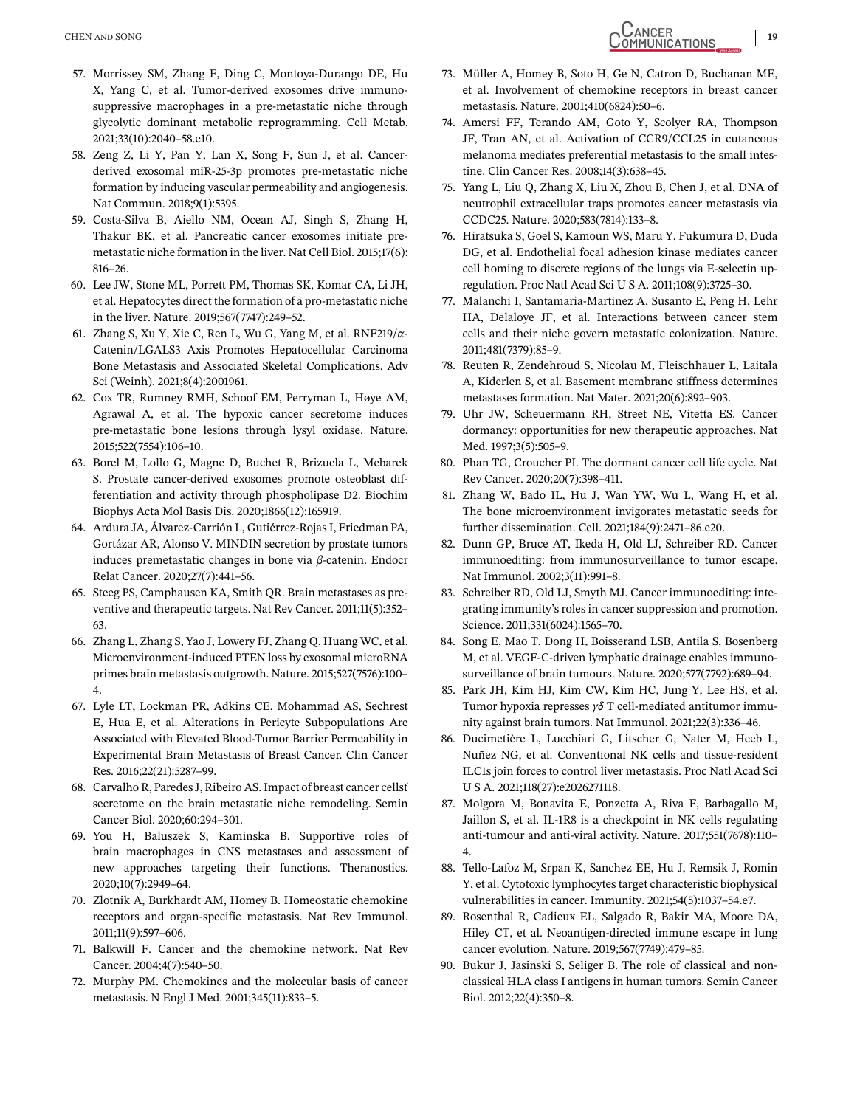- <span id="page-18-0"></span>57. Morrissey SM, Zhang F, Ding C, Montoya-Durango DE, Hu X, Yang C, et al. Tumor-derived exosomes drive immunosuppressive macrophages in a pre-metastatic niche through glycolytic dominant metabolic reprogramming. Cell Metab. 2021;33(10):2040–58.e10.
- 58. Zeng Z, Li Y, Pan Y, Lan X, Song F, Sun J, et al. Cancerderived exosomal miR-25-3p promotes pre-metastatic niche formation by inducing vascular permeability and angiogenesis. Nat Commun. 2018;9(1):5395.
- 59. Costa-Silva B, Aiello NM, Ocean AJ, Singh S, Zhang H, Thakur BK, et al. Pancreatic cancer exosomes initiate premetastatic niche formation in the liver. Nat Cell Biol. 2015;17(6): 816–26.
- 60. Lee JW, Stone ML, Porrett PM, Thomas SK, Komar CA, Li JH, et al. Hepatocytes direct the formation of a pro-metastatic niche in the liver. Nature. 2019;567(7747):249–52.
- 61. Zhang S, Xu Y, Xie C, Ren L, Wu G, Yang M, et al. RNF219/*α*-Catenin/LGALS3 Axis Promotes Hepatocellular Carcinoma Bone Metastasis and Associated Skeletal Complications. Adv Sci (Weinh). 2021;8(4):2001961.
- 62. Cox TR, Rumney RMH, Schoof EM, Perryman L, Høye AM, Agrawal A, et al. The hypoxic cancer secretome induces pre-metastatic bone lesions through lysyl oxidase. Nature. 2015;522(7554):106–10.
- 63. Borel M, Lollo G, Magne D, Buchet R, Brizuela L, Mebarek S. Prostate cancer-derived exosomes promote osteoblast differentiation and activity through phospholipase D2. Biochim Biophys Acta Mol Basis Dis. 2020;1866(12):165919.
- 64. Ardura JA, Álvarez-Carrión L, Gutiérrez-Rojas I, Friedman PA, Gortázar AR, Alonso V. MINDIN secretion by prostate tumors induces premetastatic changes in bone via *β*-catenin. Endocr Relat Cancer. 2020;27(7):441–56.
- 65. Steeg PS, Camphausen KA, Smith QR. Brain metastases as preventive and therapeutic targets. Nat Rev Cancer. 2011;11(5):352– 63.
- 66. Zhang L, Zhang S, Yao J, Lowery FJ, Zhang Q, Huang WC, et al. Microenvironment-induced PTEN loss by exosomal microRNA primes brain metastasis outgrowth. Nature. 2015;527(7576):100– 4.
- 67. Lyle LT, Lockman PR, Adkins CE, Mohammad AS, Sechrest E, Hua E, et al. Alterations in Pericyte Subpopulations Are Associated with Elevated Blood-Tumor Barrier Permeability in Experimental Brain Metastasis of Breast Cancer. Clin Cancer Res. 2016;22(21):5287–99.
- 68. Carvalho R, Paredes J, Ribeiro AS. Impact of breast cancer cellsť secretome on the brain metastatic niche remodeling. Semin Cancer Biol. 2020;60:294–301.
- 69. You H, Baluszek S, Kaminska B. Supportive roles of brain macrophages in CNS metastases and assessment of new approaches targeting their functions. Theranostics. 2020;10(7):2949–64.
- 70. Zlotnik A, Burkhardt AM, Homey B. Homeostatic chemokine receptors and organ-specific metastasis. Nat Rev Immunol. 2011;11(9):597–606.
- 71. Balkwill F. Cancer and the chemokine network. Nat Rev Cancer. 2004;4(7):540–50.
- 72. Murphy PM. Chemokines and the molecular basis of cancer metastasis. N Engl J Med. 2001;345(11):833–5.
- 73. Müller A, Homey B, Soto H, Ge N, Catron D, Buchanan ME, et al. Involvement of chemokine receptors in breast cancer metastasis. Nature. 2001;410(6824):50–6.
- 74. Amersi FF, Terando AM, Goto Y, Scolyer RA, Thompson JF, Tran AN, et al. Activation of CCR9/CCL25 in cutaneous melanoma mediates preferential metastasis to the small intestine. Clin Cancer Res. 2008;14(3):638–45.
- 75. Yang L, Liu Q, Zhang X, Liu X, Zhou B, Chen J, et al. DNA of neutrophil extracellular traps promotes cancer metastasis via CCDC25. Nature. 2020;583(7814):133–8.
- 76. Hiratsuka S, Goel S, Kamoun WS, Maru Y, Fukumura D, Duda DG, et al. Endothelial focal adhesion kinase mediates cancer cell homing to discrete regions of the lungs via E-selectin upregulation. Proc Natl Acad Sci U S A. 2011;108(9):3725–30.
- 77. Malanchi I, Santamaria-Martínez A, Susanto E, Peng H, Lehr HA, Delaloye JF, et al. Interactions between cancer stem cells and their niche govern metastatic colonization. Nature. 2011;481(7379):85–9.
- 78. Reuten R, Zendehroud S, Nicolau M, Fleischhauer L, Laitala A, Kiderlen S, et al. Basement membrane stiffness determines metastases formation. Nat Mater. 2021;20(6):892–903.
- 79. Uhr JW, Scheuermann RH, Street NE, Vitetta ES. Cancer dormancy: opportunities for new therapeutic approaches. Nat Med. 1997;3(5):505–9.
- 80. Phan TG, Croucher PI. The dormant cancer cell life cycle. Nat Rev Cancer. 2020;20(7):398–411.
- 81. Zhang W, Bado IL, Hu J, Wan YW, Wu L, Wang H, et al. The bone microenvironment invigorates metastatic seeds for further dissemination. Cell. 2021;184(9):2471–86.e20.
- 82. Dunn GP, Bruce AT, Ikeda H, Old LJ, Schreiber RD. Cancer immunoediting: from immunosurveillance to tumor escape. Nat Immunol. 2002;3(11):991–8.
- 83. Schreiber RD, Old LJ, Smyth MJ. Cancer immunoediting: integrating immunity's roles in cancer suppression and promotion. Science. 2011;331(6024):1565–70.
- 84. Song E, Mao T, Dong H, Boisserand LSB, Antila S, Bosenberg M, et al. VEGF-C-driven lymphatic drainage enables immunosurveillance of brain tumours. Nature. 2020;577(7792):689–94.
- 85. Park JH, Kim HJ, Kim CW, Kim HC, Jung Y, Lee HS, et al. Tumor hypoxia represses *γδ* T cell-mediated antitumor immunity against brain tumors. Nat Immunol. 2021;22(3):336–46.
- 86. Ducimetière L, Lucchiari G, Litscher G, Nater M, Heeb L, Nuñez NG, et al. Conventional NK cells and tissue-resident ILC1s join forces to control liver metastasis. Proc Natl Acad Sci U S A. 2021;118(27):e2026271118.
- 87. Molgora M, Bonavita E, Ponzetta A, Riva F, Barbagallo M, Jaillon S, et al. IL-1R8 is a checkpoint in NK cells regulating anti-tumour and anti-viral activity. Nature. 2017;551(7678):110– 4.
- 88. Tello-Lafoz M, Srpan K, Sanchez EE, Hu J, Remsik J, Romin Y, et al. Cytotoxic lymphocytes target characteristic biophysical vulnerabilities in cancer. Immunity. 2021;54(5):1037–54.e7.
- 89. Rosenthal R, Cadieux EL, Salgado R, Bakir MA, Moore DA, Hiley CT, et al. Neoantigen-directed immune escape in lung cancer evolution. Nature. 2019;567(7749):479–85.
- 90. Bukur J, Jasinski S, Seliger B. The role of classical and nonclassical HLA class I antigens in human tumors. Semin Cancer Biol. 2012;22(4):350–8.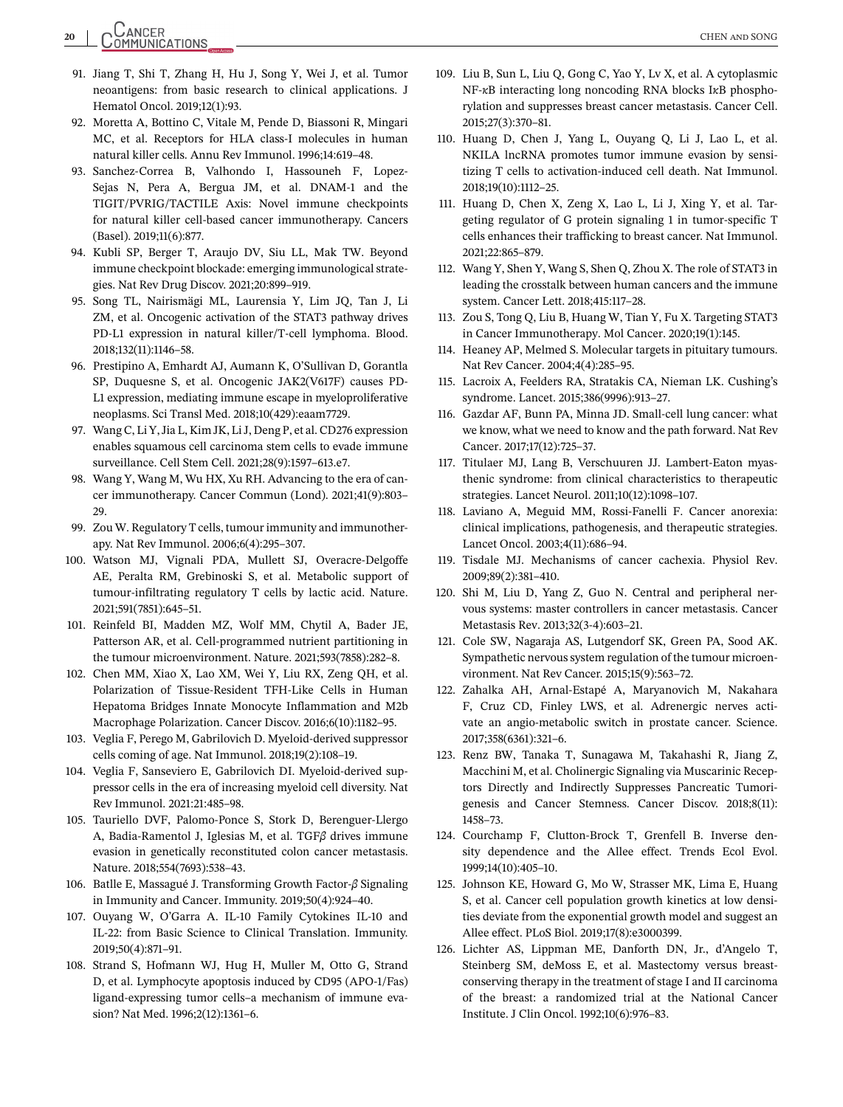# <span id="page-19-0"></span>**20** CHEN and SONG

- 91. Jiang T, Shi T, Zhang H, Hu J, Song Y, Wei J, et al. Tumor neoantigens: from basic research to clinical applications. J Hematol Oncol. 2019;12(1):93.
- 92. Moretta A, Bottino C, Vitale M, Pende D, Biassoni R, Mingari MC, et al. Receptors for HLA class-I molecules in human natural killer cells. Annu Rev Immunol. 1996;14:619–48.
- 93. Sanchez-Correa B, Valhondo I, Hassouneh F, Lopez-Sejas N, Pera A, Bergua JM, et al. DNAM-1 and the TIGIT/PVRIG/TACTILE Axis: Novel immune checkpoints for natural killer cell-based cancer immunotherapy. Cancers (Basel). 2019;11(6):877.
- 94. Kubli SP, Berger T, Araujo DV, Siu LL, Mak TW. Beyond immune checkpoint blockade: emerging immunological strategies. Nat Rev Drug Discov. 2021;20:899–919.
- 95. Song TL, Nairismägi ML, Laurensia Y, Lim JQ, Tan J, Li ZM, et al. Oncogenic activation of the STAT3 pathway drives PD-L1 expression in natural killer/T-cell lymphoma. Blood. 2018;132(11):1146–58.
- 96. Prestipino A, Emhardt AJ, Aumann K, O'Sullivan D, Gorantla SP, Duquesne S, et al. Oncogenic JAK2(V617F) causes PD-L1 expression, mediating immune escape in myeloproliferative neoplasms. Sci Transl Med. 2018;10(429):eaam7729.
- 97. Wang C, Li Y, Jia L, Kim JK, Li J, Deng P, et al. CD276 expression enables squamous cell carcinoma stem cells to evade immune surveillance. Cell Stem Cell. 2021;28(9):1597–613.e7.
- 98. Wang Y, Wang M, Wu HX, Xu RH. Advancing to the era of cancer immunotherapy. Cancer Commun (Lond). 2021;41(9):803– 29.
- 99. Zou W. Regulatory T cells, tumour immunity and immunotherapy. Nat Rev Immunol. 2006;6(4):295–307.
- 100. Watson MJ, Vignali PDA, Mullett SJ, Overacre-Delgoffe AE, Peralta RM, Grebinoski S, et al. Metabolic support of tumour-infiltrating regulatory T cells by lactic acid. Nature. 2021;591(7851):645–51.
- 101. Reinfeld BI, Madden MZ, Wolf MM, Chytil A, Bader JE, Patterson AR, et al. Cell-programmed nutrient partitioning in the tumour microenvironment. Nature. 2021;593(7858):282–8.
- 102. Chen MM, Xiao X, Lao XM, Wei Y, Liu RX, Zeng QH, et al. Polarization of Tissue-Resident TFH-Like Cells in Human Hepatoma Bridges Innate Monocyte Inflammation and M2b Macrophage Polarization. Cancer Discov. 2016;6(10):1182–95.
- 103. Veglia F, Perego M, Gabrilovich D. Myeloid-derived suppressor cells coming of age. Nat Immunol. 2018;19(2):108–19.
- 104. Veglia F, Sanseviero E, Gabrilovich DI. Myeloid-derived suppressor cells in the era of increasing myeloid cell diversity. Nat Rev Immunol. 2021:21:485–98.
- 105. Tauriello DVF, Palomo-Ponce S, Stork D, Berenguer-Llergo A, Badia-Ramentol J, Iglesias M, et al. TGF*β* drives immune evasion in genetically reconstituted colon cancer metastasis. Nature. 2018;554(7693):538–43.
- 106. Batlle E, Massagué J. Transforming Growth Factor-*β* Signaling in Immunity and Cancer. Immunity. 2019;50(4):924–40.
- 107. Ouyang W, O'Garra A. IL-10 Family Cytokines IL-10 and IL-22: from Basic Science to Clinical Translation. Immunity. 2019;50(4):871–91.
- 108. Strand S, Hofmann WJ, Hug H, Muller M, Otto G, Strand D, et al. Lymphocyte apoptosis induced by CD95 (APO-1/Fas) ligand-expressing tumor cells–a mechanism of immune evasion? Nat Med. 1996;2(12):1361–6.
- 109. Liu B, Sun L, Liu Q, Gong C, Yao Y, Lv X, et al. A cytoplasmic NF-*κ*B interacting long noncoding RNA blocks I*κ*B phosphorylation and suppresses breast cancer metastasis. Cancer Cell. 2015;27(3):370–81.
- 110. Huang D, Chen J, Yang L, Ouyang Q, Li J, Lao L, et al. NKILA lncRNA promotes tumor immune evasion by sensitizing T cells to activation-induced cell death. Nat Immunol. 2018;19(10):1112–25.
- 111. Huang D, Chen X, Zeng X, Lao L, Li J, Xing Y, et al. Targeting regulator of G protein signaling 1 in tumor-specific T cells enhances their trafficking to breast cancer. Nat Immunol. 2021;22:865–879.
- 112. Wang Y, Shen Y, Wang S, Shen Q, Zhou X. The role of STAT3 in leading the crosstalk between human cancers and the immune system. Cancer Lett. 2018;415:117–28.
- 113. Zou S, Tong Q, Liu B, Huang W, Tian Y, Fu X. Targeting STAT3 in Cancer Immunotherapy. Mol Cancer. 2020;19(1):145.
- 114. Heaney AP, Melmed S. Molecular targets in pituitary tumours. Nat Rev Cancer. 2004;4(4):285–95.
- 115. Lacroix A, Feelders RA, Stratakis CA, Nieman LK. Cushing's syndrome. Lancet. 2015;386(9996):913–27.
- 116. Gazdar AF, Bunn PA, Minna JD. Small-cell lung cancer: what we know, what we need to know and the path forward. Nat Rev Cancer. 2017;17(12):725–37.
- 117. Titulaer MJ, Lang B, Verschuuren JJ. Lambert-Eaton myasthenic syndrome: from clinical characteristics to therapeutic strategies. Lancet Neurol. 2011;10(12):1098–107.
- 118. Laviano A, Meguid MM, Rossi-Fanelli F. Cancer anorexia: clinical implications, pathogenesis, and therapeutic strategies. Lancet Oncol. 2003;4(11):686–94.
- 119. Tisdale MJ. Mechanisms of cancer cachexia. Physiol Rev. 2009;89(2):381–410.
- 120. Shi M, Liu D, Yang Z, Guo N. Central and peripheral nervous systems: master controllers in cancer metastasis. Cancer Metastasis Rev. 2013;32(3-4):603–21.
- 121. Cole SW, Nagaraja AS, Lutgendorf SK, Green PA, Sood AK. Sympathetic nervous system regulation of the tumour microenvironment. Nat Rev Cancer. 2015;15(9):563–72.
- 122. Zahalka AH, Arnal-Estapé A, Maryanovich M, Nakahara F, Cruz CD, Finley LWS, et al. Adrenergic nerves activate an angio-metabolic switch in prostate cancer. Science. 2017;358(6361):321–6.
- 123. Renz BW, Tanaka T, Sunagawa M, Takahashi R, Jiang Z, Macchini M, et al. Cholinergic Signaling via Muscarinic Receptors Directly and Indirectly Suppresses Pancreatic Tumorigenesis and Cancer Stemness. Cancer Discov. 2018;8(11): 1458–73.
- 124. Courchamp F, Clutton-Brock T, Grenfell B. Inverse density dependence and the Allee effect. Trends Ecol Evol. 1999;14(10):405–10.
- 125. Johnson KE, Howard G, Mo W, Strasser MK, Lima E, Huang S, et al. Cancer cell population growth kinetics at low densities deviate from the exponential growth model and suggest an Allee effect. PLoS Biol. 2019;17(8):e3000399.
- 126. Lichter AS, Lippman ME, Danforth DN, Jr., d'Angelo T, Steinberg SM, deMoss E, et al. Mastectomy versus breastconserving therapy in the treatment of stage I and II carcinoma of the breast: a randomized trial at the National Cancer Institute. J Clin Oncol. 1992;10(6):976–83.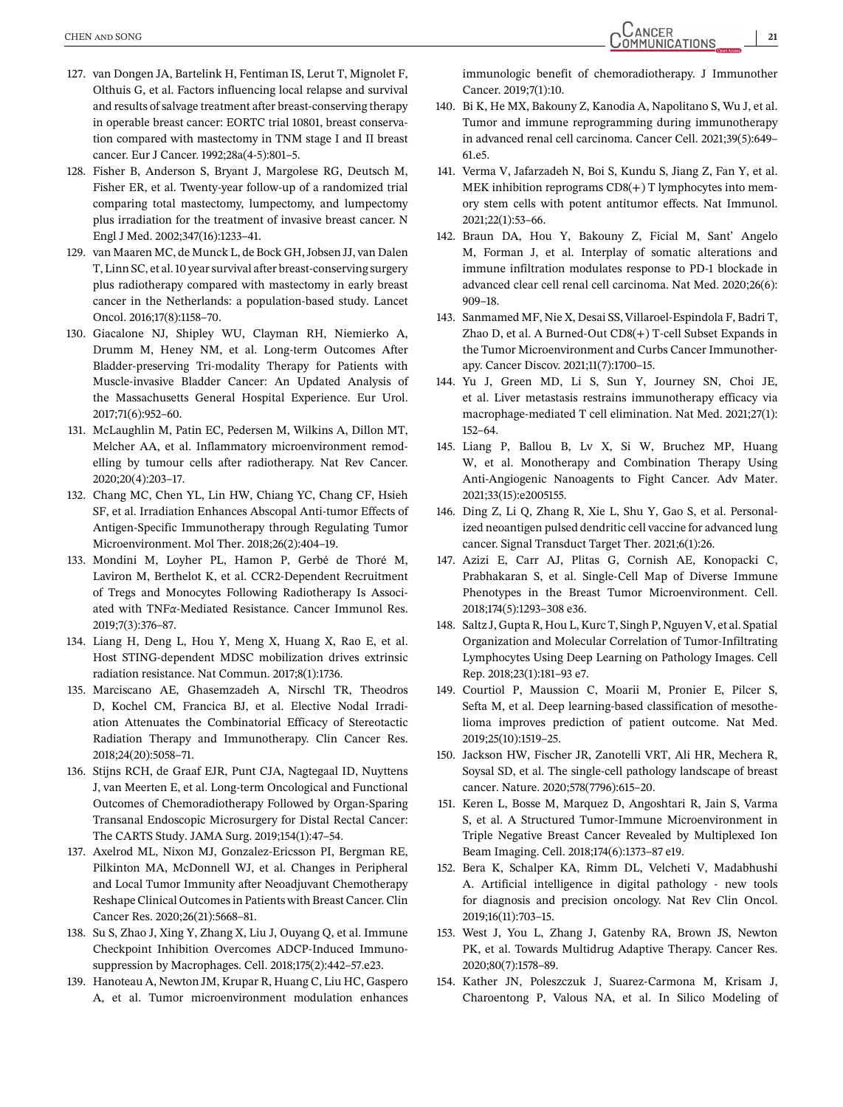- <span id="page-20-0"></span>127. van Dongen JA, Bartelink H, Fentiman IS, Lerut T, Mignolet F, Olthuis G, et al. Factors influencing local relapse and survival and results of salvage treatment after breast-conserving therapy in operable breast cancer: EORTC trial 10801, breast conservation compared with mastectomy in TNM stage I and II breast cancer. Eur J Cancer. 1992;28a(4-5):801–5.
- 128. Fisher B, Anderson S, Bryant J, Margolese RG, Deutsch M, Fisher ER, et al. Twenty-year follow-up of a randomized trial comparing total mastectomy, lumpectomy, and lumpectomy plus irradiation for the treatment of invasive breast cancer. N Engl J Med. 2002;347(16):1233–41.
- 129. van Maaren MC, de Munck L, de Bock GH, Jobsen JJ, van Dalen T, Linn SC, et al. 10 year survival after breast-conserving surgery plus radiotherapy compared with mastectomy in early breast cancer in the Netherlands: a population-based study. Lancet Oncol. 2016;17(8):1158–70.
- 130. Giacalone NJ, Shipley WU, Clayman RH, Niemierko A, Drumm M, Heney NM, et al. Long-term Outcomes After Bladder-preserving Tri-modality Therapy for Patients with Muscle-invasive Bladder Cancer: An Updated Analysis of the Massachusetts General Hospital Experience. Eur Urol. 2017;71(6):952–60.
- 131. McLaughlin M, Patin EC, Pedersen M, Wilkins A, Dillon MT, Melcher AA, et al. Inflammatory microenvironment remodelling by tumour cells after radiotherapy. Nat Rev Cancer. 2020;20(4):203–17.
- 132. Chang MC, Chen YL, Lin HW, Chiang YC, Chang CF, Hsieh SF, et al. Irradiation Enhances Abscopal Anti-tumor Effects of Antigen-Specific Immunotherapy through Regulating Tumor Microenvironment. Mol Ther. 2018;26(2):404–19.
- 133. Mondini M, Loyher PL, Hamon P, Gerbé de Thoré M, Laviron M, Berthelot K, et al. CCR2-Dependent Recruitment of Tregs and Monocytes Following Radiotherapy Is Associated with TNF*α*-Mediated Resistance. Cancer Immunol Res. 2019;7(3):376–87.
- 134. Liang H, Deng L, Hou Y, Meng X, Huang X, Rao E, et al. Host STING-dependent MDSC mobilization drives extrinsic radiation resistance. Nat Commun. 2017;8(1):1736.
- 135. Marciscano AE, Ghasemzadeh A, Nirschl TR, Theodros D, Kochel CM, Francica BJ, et al. Elective Nodal Irradiation Attenuates the Combinatorial Efficacy of Stereotactic Radiation Therapy and Immunotherapy. Clin Cancer Res. 2018;24(20):5058–71.
- 136. Stijns RCH, de Graaf EJR, Punt CJA, Nagtegaal ID, Nuyttens J, van Meerten E, et al. Long-term Oncological and Functional Outcomes of Chemoradiotherapy Followed by Organ-Sparing Transanal Endoscopic Microsurgery for Distal Rectal Cancer: The CARTS Study. JAMA Surg. 2019;154(1):47–54.
- 137. Axelrod ML, Nixon MJ, Gonzalez-Ericsson PI, Bergman RE, Pilkinton MA, McDonnell WJ, et al. Changes in Peripheral and Local Tumor Immunity after Neoadjuvant Chemotherapy Reshape Clinical Outcomes in Patients with Breast Cancer. Clin Cancer Res. 2020;26(21):5668–81.
- 138. Su S, Zhao J, Xing Y, Zhang X, Liu J, Ouyang Q, et al. Immune Checkpoint Inhibition Overcomes ADCP-Induced Immunosuppression by Macrophages. Cell. 2018;175(2):442–57.e23.
- 139. Hanoteau A, Newton JM, Krupar R, Huang C, Liu HC, Gaspero A, et al. Tumor microenvironment modulation enhances

immunologic benefit of chemoradiotherapy. J Immunother Cancer. 2019;7(1):10.

- 140. Bi K, He MX, Bakouny Z, Kanodia A, Napolitano S, Wu J, et al. Tumor and immune reprogramming during immunotherapy in advanced renal cell carcinoma. Cancer Cell. 2021;39(5):649– 61.e5.
- 141. Verma V, Jafarzadeh N, Boi S, Kundu S, Jiang Z, Fan Y, et al. MEK inhibition reprograms  $CD8(+)$  T lymphocytes into memory stem cells with potent antitumor effects. Nat Immunol. 2021;22(1):53–66.
- 142. Braun DA, Hou Y, Bakouny Z, Ficial M, Sant' Angelo M, Forman J, et al. Interplay of somatic alterations and immune infiltration modulates response to PD-1 blockade in advanced clear cell renal cell carcinoma. Nat Med. 2020;26(6): 909–18.
- 143. Sanmamed MF, Nie X, Desai SS, Villaroel-Espindola F, Badri T, Zhao D, et al. A Burned-Out CD8(+) T-cell Subset Expands in the Tumor Microenvironment and Curbs Cancer Immunotherapy. Cancer Discov. 2021;11(7):1700–15.
- 144. Yu J, Green MD, Li S, Sun Y, Journey SN, Choi JE, et al. Liver metastasis restrains immunotherapy efficacy via macrophage-mediated T cell elimination. Nat Med. 2021;27(1): 152–64.
- 145. Liang P, Ballou B, Lv X, Si W, Bruchez MP, Huang W, et al. Monotherapy and Combination Therapy Using Anti-Angiogenic Nanoagents to Fight Cancer. Adv Mater. 2021;33(15):e2005155.
- 146. Ding Z, Li Q, Zhang R, Xie L, Shu Y, Gao S, et al. Personalized neoantigen pulsed dendritic cell vaccine for advanced lung cancer. Signal Transduct Target Ther. 2021;6(1):26.
- 147. Azizi E, Carr AJ, Plitas G, Cornish AE, Konopacki C, Prabhakaran S, et al. Single-Cell Map of Diverse Immune Phenotypes in the Breast Tumor Microenvironment. Cell. 2018;174(5):1293–308 e36.
- 148. Saltz J, Gupta R, Hou L, Kurc T, Singh P, Nguyen V, et al. Spatial Organization and Molecular Correlation of Tumor-Infiltrating Lymphocytes Using Deep Learning on Pathology Images. Cell Rep. 2018;23(1):181–93 e7.
- 149. Courtiol P, Maussion C, Moarii M, Pronier E, Pilcer S, Sefta M, et al. Deep learning-based classification of mesothelioma improves prediction of patient outcome. Nat Med. 2019;25(10):1519–25.
- 150. Jackson HW, Fischer JR, Zanotelli VRT, Ali HR, Mechera R, Soysal SD, et al. The single-cell pathology landscape of breast cancer. Nature. 2020;578(7796):615–20.
- 151. Keren L, Bosse M, Marquez D, Angoshtari R, Jain S, Varma S, et al. A Structured Tumor-Immune Microenvironment in Triple Negative Breast Cancer Revealed by Multiplexed Ion Beam Imaging. Cell. 2018;174(6):1373–87 e19.
- 152. Bera K, Schalper KA, Rimm DL, Velcheti V, Madabhushi A. Artificial intelligence in digital pathology - new tools for diagnosis and precision oncology. Nat Rev Clin Oncol. 2019;16(11):703–15.
- 153. West J, You L, Zhang J, Gatenby RA, Brown JS, Newton PK, et al. Towards Multidrug Adaptive Therapy. Cancer Res. 2020;80(7):1578–89.
- 154. Kather JN, Poleszczuk J, Suarez-Carmona M, Krisam J, Charoentong P, Valous NA, et al. In Silico Modeling of